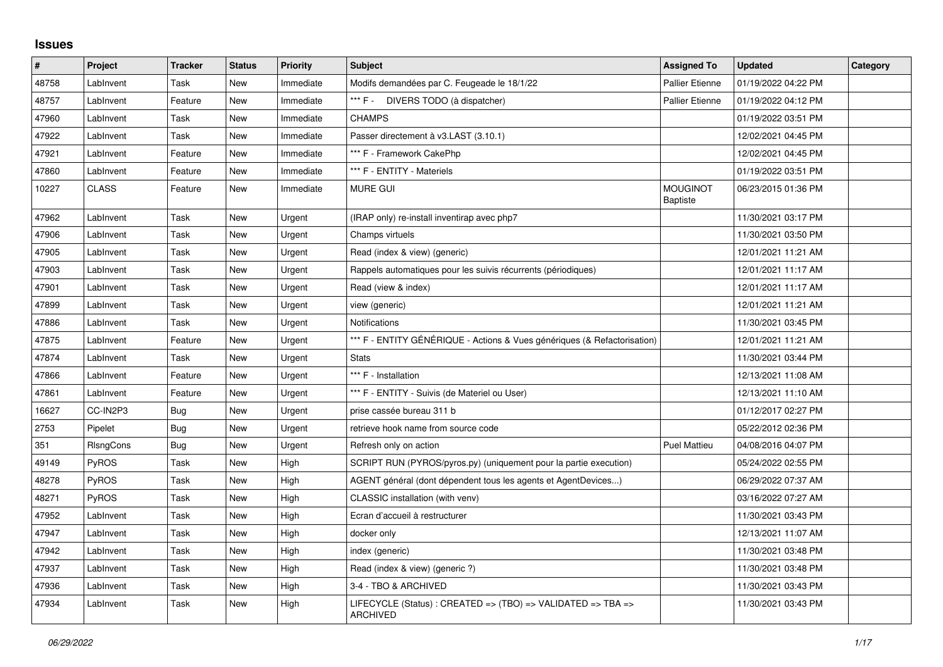## **Issues**

| $\vert$ # | Project      | <b>Tracker</b> | <b>Status</b> | <b>Priority</b> | <b>Subject</b>                                                                  | <b>Assigned To</b>                 | <b>Updated</b>      | Category |
|-----------|--------------|----------------|---------------|-----------------|---------------------------------------------------------------------------------|------------------------------------|---------------------|----------|
| 48758     | LabInvent    | Task           | <b>New</b>    | Immediate       | Modifs demandées par C. Feugeade le 18/1/22                                     | <b>Pallier Etienne</b>             | 01/19/2022 04:22 PM |          |
| 48757     | LabInvent    | Feature        | <b>New</b>    | Immediate       | *** F - DIVERS TODO (à dispatcher)                                              | <b>Pallier Etienne</b>             | 01/19/2022 04:12 PM |          |
| 47960     | LabInvent    | Task           | New           | Immediate       | <b>CHAMPS</b>                                                                   |                                    | 01/19/2022 03:51 PM |          |
| 47922     | LabInvent    | Task           | <b>New</b>    | Immediate       | Passer directement à v3.LAST (3.10.1)                                           |                                    | 12/02/2021 04:45 PM |          |
| 47921     | LabInvent    | Feature        | <b>New</b>    | Immediate       | *** F - Framework CakePhp                                                       |                                    | 12/02/2021 04:45 PM |          |
| 47860     | LabInvent    | Feature        | New           | Immediate       | *** F - ENTITY - Materiels                                                      |                                    | 01/19/2022 03:51 PM |          |
| 10227     | <b>CLASS</b> | Feature        | New           | Immediate       | <b>MURE GUI</b>                                                                 | <b>MOUGINOT</b><br><b>Baptiste</b> | 06/23/2015 01:36 PM |          |
| 47962     | LabInvent    | Task           | <b>New</b>    | Urgent          | (IRAP only) re-install inventirap avec php7                                     |                                    | 11/30/2021 03:17 PM |          |
| 47906     | LabInvent    | Task           | New           | Urgent          | Champs virtuels                                                                 |                                    | 11/30/2021 03:50 PM |          |
| 47905     | LabInvent    | Task           | <b>New</b>    | Urgent          | Read (index & view) (generic)                                                   |                                    | 12/01/2021 11:21 AM |          |
| 47903     | LabInvent    | Task           | New           | Urgent          | Rappels automatiques pour les suivis récurrents (périodiques)                   |                                    | 12/01/2021 11:17 AM |          |
| 47901     | LabInvent    | Task           | <b>New</b>    | Urgent          | Read (view & index)                                                             |                                    | 12/01/2021 11:17 AM |          |
| 47899     | LabInvent    | Task           | New           | Urgent          | view (generic)                                                                  |                                    | 12/01/2021 11:21 AM |          |
| 47886     | LabInvent    | Task           | <b>New</b>    | Urgent          | Notifications                                                                   |                                    | 11/30/2021 03:45 PM |          |
| 47875     | LabInvent    | Feature        | New           | Urgent          | *** F - ENTITY GÉNÉRIQUE - Actions & Vues génériques (& Refactorisation)        |                                    | 12/01/2021 11:21 AM |          |
| 47874     | LabInvent    | Task           | <b>New</b>    | Urgent          | <b>Stats</b>                                                                    |                                    | 11/30/2021 03:44 PM |          |
| 47866     | LabInvent    | Feature        | <b>New</b>    | Urgent          | *** F - Installation                                                            |                                    | 12/13/2021 11:08 AM |          |
| 47861     | LabInvent    | Feature        | <b>New</b>    | Urgent          | *** F - ENTITY - Suivis (de Materiel ou User)                                   |                                    | 12/13/2021 11:10 AM |          |
| 16627     | CC-IN2P3     | Bug            | New           | Urgent          | prise cassée bureau 311 b                                                       |                                    | 01/12/2017 02:27 PM |          |
| 2753      | Pipelet      | <b>Bug</b>     | <b>New</b>    | Urgent          | retrieve hook name from source code                                             |                                    | 05/22/2012 02:36 PM |          |
| 351       | RIsngCons    | <b>Bug</b>     | New           | Urgent          | Refresh only on action                                                          | <b>Puel Mattieu</b>                | 04/08/2016 04:07 PM |          |
| 49149     | PyROS        | Task           | <b>New</b>    | High            | SCRIPT RUN (PYROS/pyros.py) (uniquement pour la partie execution)               |                                    | 05/24/2022 02:55 PM |          |
| 48278     | PyROS        | Task           | <b>New</b>    | High            | AGENT général (dont dépendent tous les agents et AgentDevices)                  |                                    | 06/29/2022 07:37 AM |          |
| 48271     | PyROS        | Task           | <b>New</b>    | High            | CLASSIC installation (with venv)                                                |                                    | 03/16/2022 07:27 AM |          |
| 47952     | LabInvent    | Task           | <b>New</b>    | High            | Ecran d'accueil à restructurer                                                  |                                    | 11/30/2021 03:43 PM |          |
| 47947     | LabInvent    | Task           | <b>New</b>    | High            | docker only                                                                     |                                    | 12/13/2021 11:07 AM |          |
| 47942     | LabInvent    | Task           | New           | High            | index (generic)                                                                 |                                    | 11/30/2021 03:48 PM |          |
| 47937     | LabInvent    | Task           | New           | High            | Read (index & view) (generic ?)                                                 |                                    | 11/30/2021 03:48 PM |          |
| 47936     | LabInvent    | Task           | New           | High            | 3-4 - TBO & ARCHIVED                                                            |                                    | 11/30/2021 03:43 PM |          |
| 47934     | LabInvent    | Task           | New           | High            | LIFECYCLE (Status) : CREATED => (TBO) => VALIDATED => TBA =><br><b>ARCHIVED</b> |                                    | 11/30/2021 03:43 PM |          |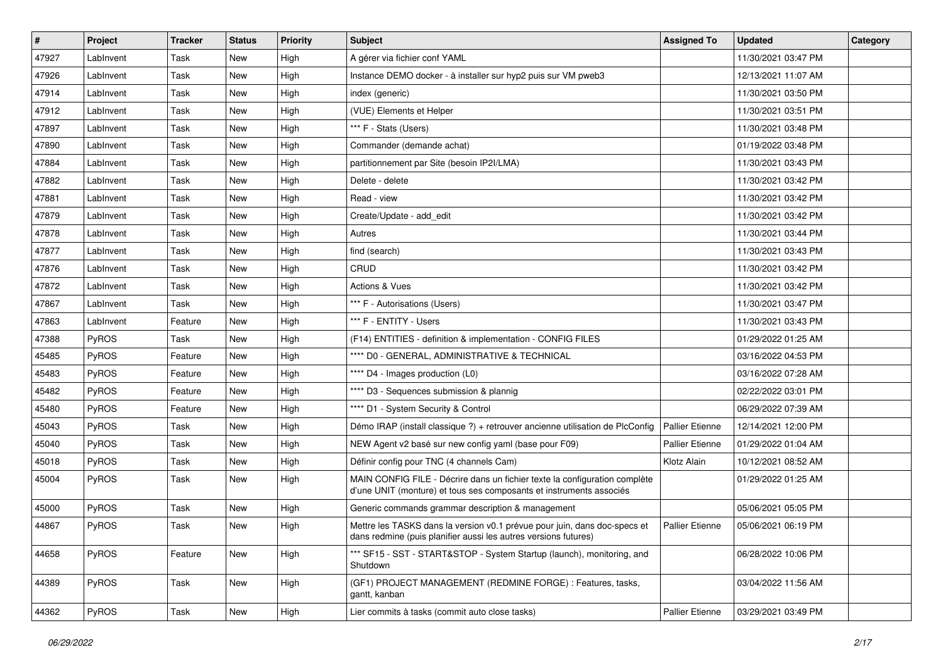| #     | Project      | <b>Tracker</b> | <b>Status</b> | <b>Priority</b> | Subject                                                                                                                                           | <b>Assigned To</b>     | <b>Updated</b>      | Category |
|-------|--------------|----------------|---------------|-----------------|---------------------------------------------------------------------------------------------------------------------------------------------------|------------------------|---------------------|----------|
| 47927 | LabInvent    | Task           | <b>New</b>    | High            | A gérer via fichier conf YAML                                                                                                                     |                        | 11/30/2021 03:47 PM |          |
| 47926 | LabInvent    | Task           | New           | High            | Instance DEMO docker - à installer sur hyp2 puis sur VM pweb3                                                                                     |                        | 12/13/2021 11:07 AM |          |
| 47914 | LabInvent    | Task           | New           | High            | index (generic)                                                                                                                                   |                        | 11/30/2021 03:50 PM |          |
| 47912 | LabInvent    | Task           | <b>New</b>    | High            | (VUE) Elements et Helper                                                                                                                          |                        | 11/30/2021 03:51 PM |          |
| 47897 | LabInvent    | Task           | New           | High            | *** F - Stats (Users)                                                                                                                             |                        | 11/30/2021 03:48 PM |          |
| 47890 | LabInvent    | Task           | New           | High            | Commander (demande achat)                                                                                                                         |                        | 01/19/2022 03:48 PM |          |
| 47884 | LabInvent    | Task           | <b>New</b>    | High            | partitionnement par Site (besoin IP2I/LMA)                                                                                                        |                        | 11/30/2021 03:43 PM |          |
| 47882 | LabInvent    | Task           | <b>New</b>    | High            | Delete - delete                                                                                                                                   |                        | 11/30/2021 03:42 PM |          |
| 47881 | LabInvent    | Task           | New           | High            | Read - view                                                                                                                                       |                        | 11/30/2021 03:42 PM |          |
| 47879 | LabInvent    | Task           | <b>New</b>    | High            | Create/Update - add_edit                                                                                                                          |                        | 11/30/2021 03:42 PM |          |
| 47878 | LabInvent    | Task           | New           | High            | Autres                                                                                                                                            |                        | 11/30/2021 03:44 PM |          |
| 47877 | LabInvent    | Task           | <b>New</b>    | High            | find (search)                                                                                                                                     |                        | 11/30/2021 03:43 PM |          |
| 47876 | LabInvent    | Task           | New           | High            | <b>CRUD</b>                                                                                                                                       |                        | 11/30/2021 03:42 PM |          |
| 47872 | LabInvent    | Task           | New           | High            | <b>Actions &amp; Vues</b>                                                                                                                         |                        | 11/30/2021 03:42 PM |          |
| 47867 | LabInvent    | Task           | <b>New</b>    | High            | *** F - Autorisations (Users)                                                                                                                     |                        | 11/30/2021 03:47 PM |          |
| 47863 | LabInvent    | Feature        | New           | High            | *** F - ENTITY - Users                                                                                                                            |                        | 11/30/2021 03:43 PM |          |
| 47388 | PyROS        | Task           | <b>New</b>    | High            | (F14) ENTITIES - definition & implementation - CONFIG FILES                                                                                       |                        | 01/29/2022 01:25 AM |          |
| 45485 | PyROS        | Feature        | New           | High            | **** D0 - GENERAL, ADMINISTRATIVE & TECHNICAL                                                                                                     |                        | 03/16/2022 04:53 PM |          |
| 45483 | PyROS        | Feature        | New           | High            | **** D4 - Images production (L0)                                                                                                                  |                        | 03/16/2022 07:28 AM |          |
| 45482 | PyROS        | Feature        | New           | High            | **** D3 - Sequences submission & plannig                                                                                                          |                        | 02/22/2022 03:01 PM |          |
| 45480 | <b>PyROS</b> | Feature        | <b>New</b>    | High            | **** D1 - System Security & Control                                                                                                               |                        | 06/29/2022 07:39 AM |          |
| 45043 | PyROS        | Task           | New           | High            | Démo IRAP (install classique ?) + retrouver ancienne utilisation de PlcConfig                                                                     | <b>Pallier Etienne</b> | 12/14/2021 12:00 PM |          |
| 45040 | PyROS        | Task           | New           | High            | NEW Agent v2 basé sur new config yaml (base pour F09)                                                                                             | <b>Pallier Etienne</b> | 01/29/2022 01:04 AM |          |
| 45018 | PyROS        | Task           | New           | High            | Définir config pour TNC (4 channels Cam)                                                                                                          | Klotz Alain            | 10/12/2021 08:52 AM |          |
| 45004 | PyROS        | Task           | New           | High            | MAIN CONFIG FILE - Décrire dans un fichier texte la configuration complète<br>d'une UNIT (monture) et tous ses composants et instruments associés |                        | 01/29/2022 01:25 AM |          |
| 45000 | PyROS        | Task           | <b>New</b>    | High            | Generic commands grammar description & management                                                                                                 |                        | 05/06/2021 05:05 PM |          |
| 44867 | PyROS        | Task           | New           | High            | Mettre les TASKS dans la version v0.1 prévue pour juin, dans doc-specs et<br>dans redmine (puis planifier aussi les autres versions futures)      | Pallier Etienne        | 05/06/2021 06:19 PM |          |
| 44658 | PyROS        | Feature        | New           | High            | *** SF15 - SST - START&STOP - System Startup (launch), monitoring, and<br>Shutdown                                                                |                        | 06/28/2022 10:06 PM |          |
| 44389 | PyROS        | Task           | New           | High            | (GF1) PROJECT MANAGEMENT (REDMINE FORGE) : Features, tasks,<br>gantt, kanban                                                                      |                        | 03/04/2022 11:56 AM |          |
| 44362 | PyROS        | Task           | New           | High            | Lier commits à tasks (commit auto close tasks)                                                                                                    | Pallier Etienne        | 03/29/2021 03:49 PM |          |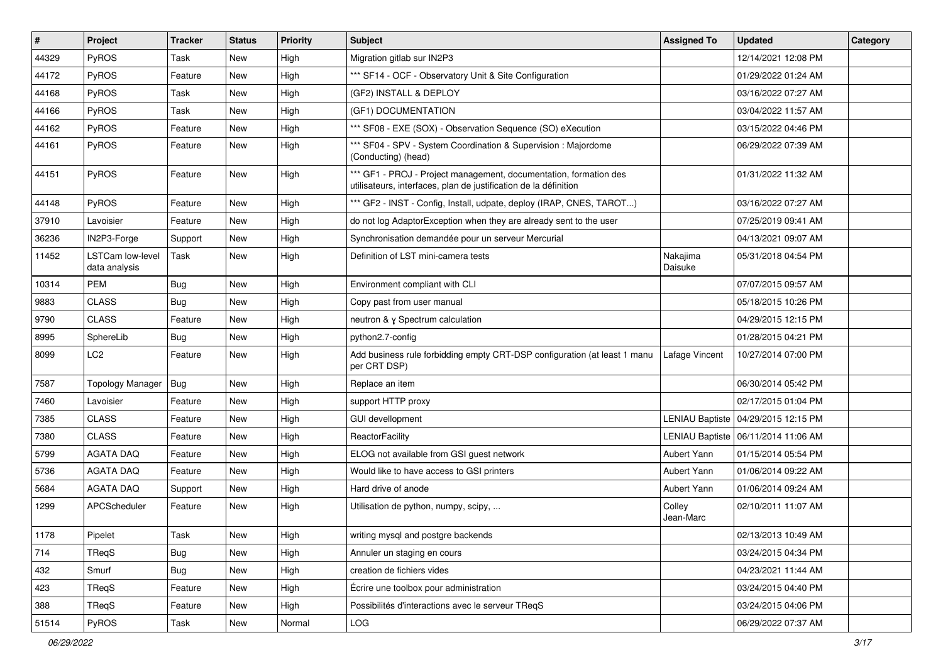| $\vert$ # | Project                           | <b>Tracker</b> | <b>Status</b> | <b>Priority</b> | <b>Subject</b>                                                                                                                        | <b>Assigned To</b>  | <b>Updated</b>                        | Category |
|-----------|-----------------------------------|----------------|---------------|-----------------|---------------------------------------------------------------------------------------------------------------------------------------|---------------------|---------------------------------------|----------|
| 44329     | PyROS                             | Task           | New           | High            | Migration gitlab sur IN2P3                                                                                                            |                     | 12/14/2021 12:08 PM                   |          |
| 44172     | PyROS                             | Feature        | <b>New</b>    | High            | *** SF14 - OCF - Observatory Unit & Site Configuration                                                                                |                     | 01/29/2022 01:24 AM                   |          |
| 44168     | PyROS                             | Task           | <b>New</b>    | High            | (GF2) INSTALL & DEPLOY                                                                                                                |                     | 03/16/2022 07:27 AM                   |          |
| 44166     | PyROS                             | Task           | <b>New</b>    | High            | (GF1) DOCUMENTATION                                                                                                                   |                     | 03/04/2022 11:57 AM                   |          |
| 44162     | PyROS                             | Feature        | <b>New</b>    | High            | *** SF08 - EXE (SOX) - Observation Sequence (SO) eXecution                                                                            |                     | 03/15/2022 04:46 PM                   |          |
| 44161     | PyROS                             | Feature        | New           | High            | *** SF04 - SPV - System Coordination & Supervision : Majordome<br>(Conducting) (head)                                                 |                     | 06/29/2022 07:39 AM                   |          |
| 44151     | PyROS                             | Feature        | New           | High            | *** GF1 - PROJ - Project management, documentation, formation des<br>utilisateurs, interfaces, plan de justification de la définition |                     | 01/31/2022 11:32 AM                   |          |
| 44148     | PyROS                             | Feature        | <b>New</b>    | High            | *** GF2 - INST - Config, Install, udpate, deploy (IRAP, CNES, TAROT)                                                                  |                     | 03/16/2022 07:27 AM                   |          |
| 37910     | Lavoisier                         | Feature        | New           | High            | do not log AdaptorException when they are already sent to the user                                                                    |                     | 07/25/2019 09:41 AM                   |          |
| 36236     | IN2P3-Forge                       | Support        | <b>New</b>    | High            | Synchronisation demandée pour un serveur Mercurial                                                                                    |                     | 04/13/2021 09:07 AM                   |          |
| 11452     | LSTCam low-level<br>data analysis | Task           | <b>New</b>    | High            | Definition of LST mini-camera tests                                                                                                   | Nakajima<br>Daisuke | 05/31/2018 04:54 PM                   |          |
| 10314     | <b>PEM</b>                        | Bug            | <b>New</b>    | High            | Environment compliant with CLI                                                                                                        |                     | 07/07/2015 09:57 AM                   |          |
| 9883      | <b>CLASS</b>                      | Bug            | New           | High            | Copy past from user manual                                                                                                            |                     | 05/18/2015 10:26 PM                   |          |
| 9790      | <b>CLASS</b>                      | Feature        | <b>New</b>    | High            | neutron & y Spectrum calculation                                                                                                      |                     | 04/29/2015 12:15 PM                   |          |
| 8995      | SphereLib                         | Bug            | <b>New</b>    | High            | python2.7-config                                                                                                                      |                     | 01/28/2015 04:21 PM                   |          |
| 8099      | LC <sub>2</sub>                   | Feature        | New           | High            | Add business rule forbidding empty CRT-DSP configuration (at least 1 manu<br>per CRT DSP)                                             | Lafage Vincent      | 10/27/2014 07:00 PM                   |          |
| 7587      | <b>Topology Manager</b>           | Bug            | <b>New</b>    | High            | Replace an item                                                                                                                       |                     | 06/30/2014 05:42 PM                   |          |
| 7460      | Lavoisier                         | Feature        | <b>New</b>    | High            | support HTTP proxy                                                                                                                    |                     | 02/17/2015 01:04 PM                   |          |
| 7385      | <b>CLASS</b>                      | Feature        | <b>New</b>    | High            | <b>GUI devellopment</b>                                                                                                               |                     | LENIAU Baptiste   04/29/2015 12:15 PM |          |
| 7380      | <b>CLASS</b>                      | Feature        | New           | High            | ReactorFacility                                                                                                                       |                     | LENIAU Baptiste   06/11/2014 11:06 AM |          |
| 5799      | <b>AGATA DAQ</b>                  | Feature        | <b>New</b>    | High            | ELOG not available from GSI guest network                                                                                             | Aubert Yann         | 01/15/2014 05:54 PM                   |          |
| 5736      | AGATA DAQ                         | Feature        | New           | High            | Would like to have access to GSI printers                                                                                             | Aubert Yann         | 01/06/2014 09:22 AM                   |          |
| 5684      | <b>AGATA DAQ</b>                  | Support        | New           | High            | Hard drive of anode                                                                                                                   | Aubert Yann         | 01/06/2014 09:24 AM                   |          |
| 1299      | APCScheduler                      | Feature        | New           | High            | Utilisation de python, numpy, scipy,                                                                                                  | Colley<br>Jean-Marc | 02/10/2011 11:07 AM                   |          |
| 1178      | Pipelet                           | Task           | New           | High            | writing mysql and postgre backends                                                                                                    |                     | 02/13/2013 10:49 AM                   |          |
| 714       | TReqS                             | <b>Bug</b>     | New           | High            | Annuler un staging en cours                                                                                                           |                     | 03/24/2015 04:34 PM                   |          |
| 432       | Smurf                             | <b>Bug</b>     | New           | High            | creation de fichiers vides                                                                                                            |                     | 04/23/2021 11:44 AM                   |          |
| 423       | TReqS                             | Feature        | New           | High            | Écrire une toolbox pour administration                                                                                                |                     | 03/24/2015 04:40 PM                   |          |
| 388       | TReqS                             | Feature        | New           | High            | Possibilités d'interactions avec le serveur TReqS                                                                                     |                     | 03/24/2015 04:06 PM                   |          |
| 51514     | PyROS                             | Task           | New           | Normal          | LOG                                                                                                                                   |                     | 06/29/2022 07:37 AM                   |          |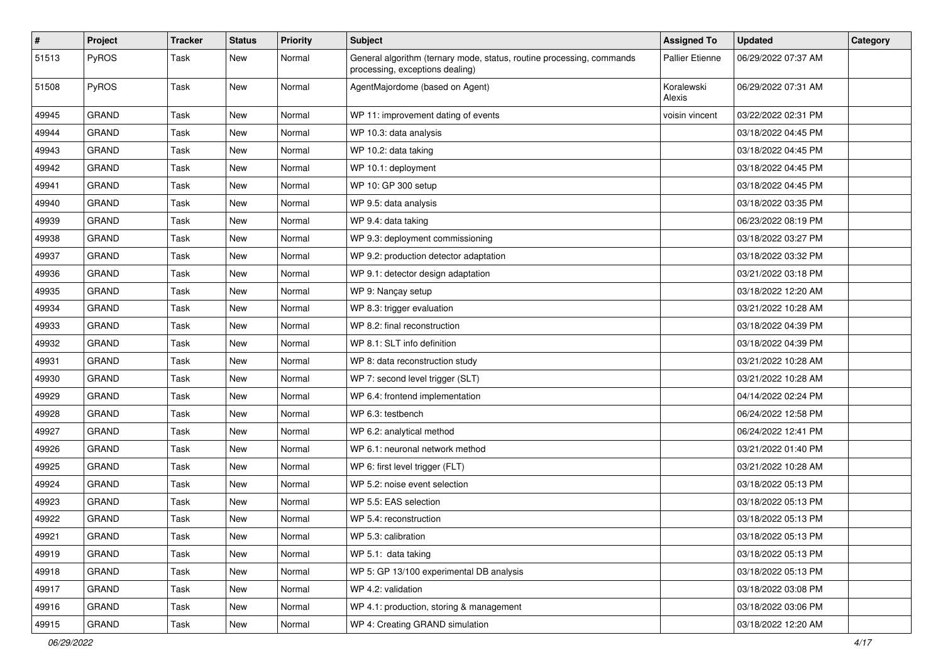| $\pmb{\#}$ | Project      | <b>Tracker</b> | <b>Status</b> | <b>Priority</b> | <b>Subject</b>                                                                                           | <b>Assigned To</b>     | <b>Updated</b>      | Category |
|------------|--------------|----------------|---------------|-----------------|----------------------------------------------------------------------------------------------------------|------------------------|---------------------|----------|
| 51513      | PyROS        | Task           | New           | Normal          | General algorithm (ternary mode, status, routine processing, commands<br>processing, exceptions dealing) | <b>Pallier Etienne</b> | 06/29/2022 07:37 AM |          |
| 51508      | PyROS        | Task           | New           | Normal          | AgentMajordome (based on Agent)                                                                          | Koralewski<br>Alexis   | 06/29/2022 07:31 AM |          |
| 49945      | <b>GRAND</b> | Task           | <b>New</b>    | Normal          | WP 11: improvement dating of events                                                                      | voisin vincent         | 03/22/2022 02:31 PM |          |
| 49944      | <b>GRAND</b> | Task           | New           | Normal          | WP 10.3: data analysis                                                                                   |                        | 03/18/2022 04:45 PM |          |
| 49943      | <b>GRAND</b> | Task           | New           | Normal          | WP 10.2: data taking                                                                                     |                        | 03/18/2022 04:45 PM |          |
| 49942      | <b>GRAND</b> | Task           | New           | Normal          | WP 10.1: deployment                                                                                      |                        | 03/18/2022 04:45 PM |          |
| 49941      | <b>GRAND</b> | Task           | New           | Normal          | WP 10: GP 300 setup                                                                                      |                        | 03/18/2022 04:45 PM |          |
| 49940      | <b>GRAND</b> | Task           | <b>New</b>    | Normal          | WP 9.5: data analysis                                                                                    |                        | 03/18/2022 03:35 PM |          |
| 49939      | <b>GRAND</b> | Task           | New           | Normal          | WP 9.4: data taking                                                                                      |                        | 06/23/2022 08:19 PM |          |
| 49938      | <b>GRAND</b> | Task           | New           | Normal          | WP 9.3: deployment commissioning                                                                         |                        | 03/18/2022 03:27 PM |          |
| 49937      | <b>GRAND</b> | Task           | New           | Normal          | WP 9.2: production detector adaptation                                                                   |                        | 03/18/2022 03:32 PM |          |
| 49936      | <b>GRAND</b> | Task           | New           | Normal          | WP 9.1: detector design adaptation                                                                       |                        | 03/21/2022 03:18 PM |          |
| 49935      | <b>GRAND</b> | Task           | New           | Normal          | WP 9: Nançay setup                                                                                       |                        | 03/18/2022 12:20 AM |          |
| 49934      | <b>GRAND</b> | Task           | New           | Normal          | WP 8.3: trigger evaluation                                                                               |                        | 03/21/2022 10:28 AM |          |
| 49933      | <b>GRAND</b> | Task           | New           | Normal          | WP 8.2: final reconstruction                                                                             |                        | 03/18/2022 04:39 PM |          |
| 49932      | <b>GRAND</b> | Task           | <b>New</b>    | Normal          | WP 8.1: SLT info definition                                                                              |                        | 03/18/2022 04:39 PM |          |
| 49931      | <b>GRAND</b> | Task           | New           | Normal          | WP 8: data reconstruction study                                                                          |                        | 03/21/2022 10:28 AM |          |
| 49930      | GRAND        | Task           | <b>New</b>    | Normal          | WP 7: second level trigger (SLT)                                                                         |                        | 03/21/2022 10:28 AM |          |
| 49929      | <b>GRAND</b> | Task           | New           | Normal          | WP 6.4: frontend implementation                                                                          |                        | 04/14/2022 02:24 PM |          |
| 49928      | <b>GRAND</b> | Task           | New           | Normal          | WP 6.3: testbench                                                                                        |                        | 06/24/2022 12:58 PM |          |
| 49927      | <b>GRAND</b> | Task           | New           | Normal          | WP 6.2: analytical method                                                                                |                        | 06/24/2022 12:41 PM |          |
| 49926      | GRAND        | Task           | New           | Normal          | WP 6.1: neuronal network method                                                                          |                        | 03/21/2022 01:40 PM |          |
| 49925      | <b>GRAND</b> | Task           | New           | Normal          | WP 6: first level trigger (FLT)                                                                          |                        | 03/21/2022 10:28 AM |          |
| 49924      | <b>GRAND</b> | Task           | New           | Normal          | WP 5.2: noise event selection                                                                            |                        | 03/18/2022 05:13 PM |          |
| 49923      | <b>GRAND</b> | Task           | New           | Normal          | WP 5.5: EAS selection                                                                                    |                        | 03/18/2022 05:13 PM |          |
| 49922      | <b>GRAND</b> | Task           | <b>New</b>    | Normal          | WP 5.4: reconstruction                                                                                   |                        | 03/18/2022 05:13 PM |          |
| 49921      | GRAND        | Task           | New           | Normal          | WP 5.3: calibration                                                                                      |                        | 03/18/2022 05:13 PM |          |
| 49919      | GRAND        | Task           | New           | Normal          | WP 5.1: data taking                                                                                      |                        | 03/18/2022 05:13 PM |          |
| 49918      | <b>GRAND</b> | Task           | New           | Normal          | WP 5: GP 13/100 experimental DB analysis                                                                 |                        | 03/18/2022 05:13 PM |          |
| 49917      | GRAND        | Task           | New           | Normal          | WP 4.2: validation                                                                                       |                        | 03/18/2022 03:08 PM |          |
| 49916      | GRAND        | Task           | New           | Normal          | WP 4.1: production, storing & management                                                                 |                        | 03/18/2022 03:06 PM |          |
| 49915      | GRAND        | Task           | New           | Normal          | WP 4: Creating GRAND simulation                                                                          |                        | 03/18/2022 12:20 AM |          |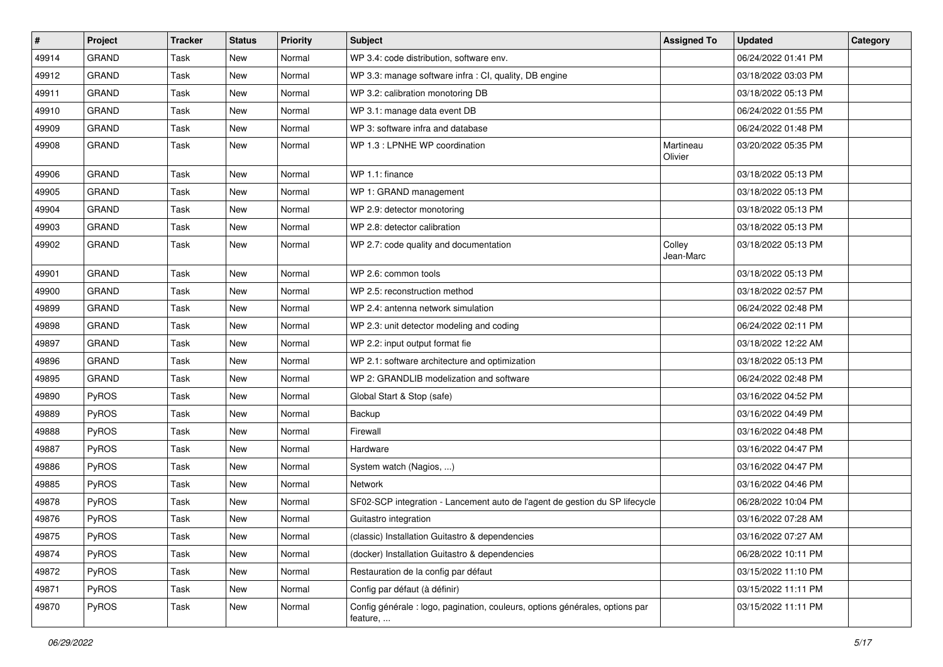| #     | Project      | <b>Tracker</b> | <b>Status</b> | <b>Priority</b> | Subject                                                                                  | <b>Assigned To</b>   | <b>Updated</b>      | Category |
|-------|--------------|----------------|---------------|-----------------|------------------------------------------------------------------------------------------|----------------------|---------------------|----------|
| 49914 | <b>GRAND</b> | Task           | <b>New</b>    | Normal          | WP 3.4: code distribution, software env.                                                 |                      | 06/24/2022 01:41 PM |          |
| 49912 | <b>GRAND</b> | Task           | New           | Normal          | WP 3.3: manage software infra : CI, quality, DB engine                                   |                      | 03/18/2022 03:03 PM |          |
| 49911 | <b>GRAND</b> | Task           | <b>New</b>    | Normal          | WP 3.2: calibration monotoring DB                                                        |                      | 03/18/2022 05:13 PM |          |
| 49910 | <b>GRAND</b> | Task           | <b>New</b>    | Normal          | WP 3.1: manage data event DB                                                             |                      | 06/24/2022 01:55 PM |          |
| 49909 | <b>GRAND</b> | Task           | <b>New</b>    | Normal          | WP 3: software infra and database                                                        |                      | 06/24/2022 01:48 PM |          |
| 49908 | <b>GRAND</b> | Task           | <b>New</b>    | Normal          | WP 1.3 : LPNHE WP coordination                                                           | Martineau<br>Olivier | 03/20/2022 05:35 PM |          |
| 49906 | GRAND        | Task           | <b>New</b>    | Normal          | WP 1.1: finance                                                                          |                      | 03/18/2022 05:13 PM |          |
| 49905 | <b>GRAND</b> | Task           | <b>New</b>    | Normal          | WP 1: GRAND management                                                                   |                      | 03/18/2022 05:13 PM |          |
| 49904 | <b>GRAND</b> | Task           | <b>New</b>    | Normal          | WP 2.9: detector monotoring                                                              |                      | 03/18/2022 05:13 PM |          |
| 49903 | <b>GRAND</b> | Task           | <b>New</b>    | Normal          | WP 2.8: detector calibration                                                             |                      | 03/18/2022 05:13 PM |          |
| 49902 | <b>GRAND</b> | Task           | <b>New</b>    | Normal          | WP 2.7: code quality and documentation                                                   | Colley<br>Jean-Marc  | 03/18/2022 05:13 PM |          |
| 49901 | <b>GRAND</b> | Task           | New           | Normal          | WP 2.6: common tools                                                                     |                      | 03/18/2022 05:13 PM |          |
| 49900 | <b>GRAND</b> | Task           | <b>New</b>    | Normal          | WP 2.5: reconstruction method                                                            |                      | 03/18/2022 02:57 PM |          |
| 49899 | GRAND        | Task           | <b>New</b>    | Normal          | WP 2.4: antenna network simulation                                                       |                      | 06/24/2022 02:48 PM |          |
| 49898 | <b>GRAND</b> | Task           | <b>New</b>    | Normal          | WP 2.3: unit detector modeling and coding                                                |                      | 06/24/2022 02:11 PM |          |
| 49897 | <b>GRAND</b> | Task           | <b>New</b>    | Normal          | WP 2.2: input output format fie                                                          |                      | 03/18/2022 12:22 AM |          |
| 49896 | <b>GRAND</b> | Task           | <b>New</b>    | Normal          | WP 2.1: software architecture and optimization                                           |                      | 03/18/2022 05:13 PM |          |
| 49895 | <b>GRAND</b> | Task           | <b>New</b>    | Normal          | WP 2: GRANDLIB modelization and software                                                 |                      | 06/24/2022 02:48 PM |          |
| 49890 | PyROS        | Task           | <b>New</b>    | Normal          | Global Start & Stop (safe)                                                               |                      | 03/16/2022 04:52 PM |          |
| 49889 | PyROS        | Task           | <b>New</b>    | Normal          | Backup                                                                                   |                      | 03/16/2022 04:49 PM |          |
| 49888 | PyROS        | Task           | <b>New</b>    | Normal          | Firewall                                                                                 |                      | 03/16/2022 04:48 PM |          |
| 49887 | PyROS        | Task           | <b>New</b>    | Normal          | Hardware                                                                                 |                      | 03/16/2022 04:47 PM |          |
| 49886 | PyROS        | Task           | <b>New</b>    | Normal          | System watch (Nagios, )                                                                  |                      | 03/16/2022 04:47 PM |          |
| 49885 | PyROS        | Task           | <b>New</b>    | Normal          | Network                                                                                  |                      | 03/16/2022 04:46 PM |          |
| 49878 | PyROS        | Task           | <b>New</b>    | Normal          | SF02-SCP integration - Lancement auto de l'agent de gestion du SP lifecycle              |                      | 06/28/2022 10:04 PM |          |
| 49876 | PyROS        | Task           | <b>New</b>    | Normal          | Guitastro integration                                                                    |                      | 03/16/2022 07:28 AM |          |
| 49875 | <b>PyROS</b> | Task           | New           | Normal          | (classic) Installation Guitastro & dependencies                                          |                      | 03/16/2022 07:27 AM |          |
| 49874 | PyROS        | Task           | New           | Normal          | (docker) Installation Guitastro & dependencies                                           |                      | 06/28/2022 10:11 PM |          |
| 49872 | PyROS        | Task           | New           | Normal          | Restauration de la config par défaut                                                     |                      | 03/15/2022 11:10 PM |          |
| 49871 | PyROS        | Task           | New           | Normal          | Config par défaut (à définir)                                                            |                      | 03/15/2022 11:11 PM |          |
| 49870 | PyROS        | Task           | New           | Normal          | Config générale : logo, pagination, couleurs, options générales, options par<br>feature, |                      | 03/15/2022 11:11 PM |          |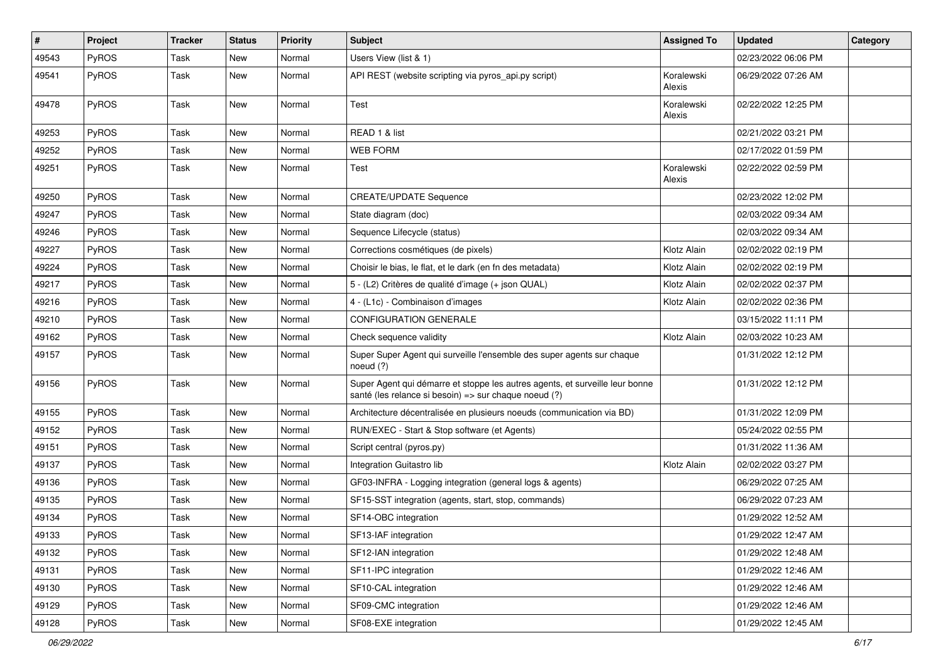| #     | Project      | <b>Tracker</b> | <b>Status</b> | <b>Priority</b> | Subject                                                                                                                               | <b>Assigned To</b>   | <b>Updated</b>      | Category |
|-------|--------------|----------------|---------------|-----------------|---------------------------------------------------------------------------------------------------------------------------------------|----------------------|---------------------|----------|
| 49543 | PyROS        | Task           | New           | Normal          | Users View (list & 1)                                                                                                                 |                      | 02/23/2022 06:06 PM |          |
| 49541 | PyROS        | Task           | <b>New</b>    | Normal          | API REST (website scripting via pyros_api.py script)                                                                                  | Koralewski<br>Alexis | 06/29/2022 07:26 AM |          |
| 49478 | PyROS        | Task           | New           | Normal          | Test                                                                                                                                  | Koralewski<br>Alexis | 02/22/2022 12:25 PM |          |
| 49253 | PyROS        | Task           | New           | Normal          | READ 1 & list                                                                                                                         |                      | 02/21/2022 03:21 PM |          |
| 49252 | PyROS        | Task           | <b>New</b>    | Normal          | <b>WEB FORM</b>                                                                                                                       |                      | 02/17/2022 01:59 PM |          |
| 49251 | PyROS        | Task           | New           | Normal          | Test                                                                                                                                  | Koralewski<br>Alexis | 02/22/2022 02:59 PM |          |
| 49250 | PyROS        | Task           | <b>New</b>    | Normal          | <b>CREATE/UPDATE Sequence</b>                                                                                                         |                      | 02/23/2022 12:02 PM |          |
| 49247 | PyROS        | Task           | New           | Normal          | State diagram (doc)                                                                                                                   |                      | 02/03/2022 09:34 AM |          |
| 49246 | PyROS        | Task           | New           | Normal          | Sequence Lifecycle (status)                                                                                                           |                      | 02/03/2022 09:34 AM |          |
| 49227 | PyROS        | Task           | New           | Normal          | Corrections cosmétiques (de pixels)                                                                                                   | Klotz Alain          | 02/02/2022 02:19 PM |          |
| 49224 | PyROS        | Task           | New           | Normal          | Choisir le bias, le flat, et le dark (en fn des metadata)                                                                             | Klotz Alain          | 02/02/2022 02:19 PM |          |
| 49217 | PyROS        | Task           | <b>New</b>    | Normal          | 5 - (L2) Critères de qualité d'image (+ json QUAL)                                                                                    | Klotz Alain          | 02/02/2022 02:37 PM |          |
| 49216 | <b>PyROS</b> | Task           | New           | Normal          | 4 - (L1c) - Combinaison d'images                                                                                                      | Klotz Alain          | 02/02/2022 02:36 PM |          |
| 49210 | PyROS        | Task           | New           | Normal          | <b>CONFIGURATION GENERALE</b>                                                                                                         |                      | 03/15/2022 11:11 PM |          |
| 49162 | PyROS        | Task           | New           | Normal          | Check sequence validity                                                                                                               | Klotz Alain          | 02/03/2022 10:23 AM |          |
| 49157 | PyROS        | Task           | New           | Normal          | Super Super Agent qui surveille l'ensemble des super agents sur chaque<br>noeud (?)                                                   |                      | 01/31/2022 12:12 PM |          |
| 49156 | PyROS        | Task           | New           | Normal          | Super Agent qui démarre et stoppe les autres agents, et surveille leur bonne<br>santé (les relance si besoin) => sur chaque noeud (?) |                      | 01/31/2022 12:12 PM |          |
| 49155 | PyROS        | Task           | <b>New</b>    | Normal          | Architecture décentralisée en plusieurs noeuds (communication via BD)                                                                 |                      | 01/31/2022 12:09 PM |          |
| 49152 | <b>PyROS</b> | Task           | New           | Normal          | RUN/EXEC - Start & Stop software (et Agents)                                                                                          |                      | 05/24/2022 02:55 PM |          |
| 49151 | PyROS        | Task           | New           | Normal          | Script central (pyros.py)                                                                                                             |                      | 01/31/2022 11:36 AM |          |
| 49137 | PyROS        | Task           | New           | Normal          | Integration Guitastro lib                                                                                                             | Klotz Alain          | 02/02/2022 03:27 PM |          |
| 49136 | PyROS        | Task           | New           | Normal          | GF03-INFRA - Logging integration (general logs & agents)                                                                              |                      | 06/29/2022 07:25 AM |          |
| 49135 | PyROS        | Task           | New           | Normal          | SF15-SST integration (agents, start, stop, commands)                                                                                  |                      | 06/29/2022 07:23 AM |          |
| 49134 | PyROS        | Task           | New           | Normal          | SF14-OBC integration                                                                                                                  |                      | 01/29/2022 12:52 AM |          |
| 49133 | PyROS        | Task           | New           | Normal          | SF13-IAF integration                                                                                                                  |                      | 01/29/2022 12:47 AM |          |
| 49132 | PyROS        | Task           | New           | Normal          | SF12-IAN integration                                                                                                                  |                      | 01/29/2022 12:48 AM |          |
| 49131 | PyROS        | Task           | New           | Normal          | SF11-IPC integration                                                                                                                  |                      | 01/29/2022 12:46 AM |          |
| 49130 | PyROS        | Task           | New           | Normal          | SF10-CAL integration                                                                                                                  |                      | 01/29/2022 12:46 AM |          |
| 49129 | PyROS        | Task           | New           | Normal          | SF09-CMC integration                                                                                                                  |                      | 01/29/2022 12:46 AM |          |
| 49128 | PyROS        | Task           | New           | Normal          | SF08-EXE integration                                                                                                                  |                      | 01/29/2022 12:45 AM |          |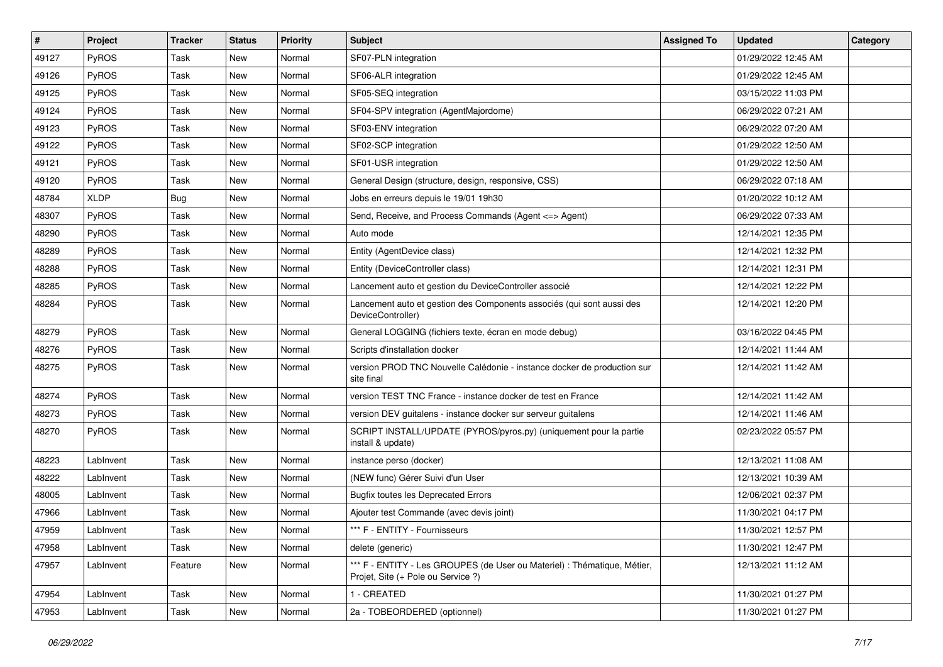| #     | Project      | <b>Tracker</b> | <b>Status</b> | <b>Priority</b> | <b>Subject</b>                                                                                                 | <b>Assigned To</b> | <b>Updated</b>      | Category |
|-------|--------------|----------------|---------------|-----------------|----------------------------------------------------------------------------------------------------------------|--------------------|---------------------|----------|
| 49127 | PyROS        | Task           | New           | Normal          | SF07-PLN integration                                                                                           |                    | 01/29/2022 12:45 AM |          |
| 49126 | PyROS        | Task           | <b>New</b>    | Normal          | SF06-ALR integration                                                                                           |                    | 01/29/2022 12:45 AM |          |
| 49125 | <b>PyROS</b> | Task           | <b>New</b>    | Normal          | SF05-SEQ integration                                                                                           |                    | 03/15/2022 11:03 PM |          |
| 49124 | PyROS        | Task           | New           | Normal          | SF04-SPV integration (AgentMajordome)                                                                          |                    | 06/29/2022 07:21 AM |          |
| 49123 | PyROS        | Task           | <b>New</b>    | Normal          | SF03-ENV integration                                                                                           |                    | 06/29/2022 07:20 AM |          |
| 49122 | PyROS        | Task           | <b>New</b>    | Normal          | SF02-SCP integration                                                                                           |                    | 01/29/2022 12:50 AM |          |
| 49121 | PyROS        | Task           | <b>New</b>    | Normal          | SF01-USR integration                                                                                           |                    | 01/29/2022 12:50 AM |          |
| 49120 | PyROS        | Task           | <b>New</b>    | Normal          | General Design (structure, design, responsive, CSS)                                                            |                    | 06/29/2022 07:18 AM |          |
| 48784 | <b>XLDP</b>  | <b>Bug</b>     | <b>New</b>    | Normal          | Jobs en erreurs depuis le 19/01 19h30                                                                          |                    | 01/20/2022 10:12 AM |          |
| 48307 | PyROS        | Task           | <b>New</b>    | Normal          | Send, Receive, and Process Commands (Agent <= > Agent)                                                         |                    | 06/29/2022 07:33 AM |          |
| 48290 | PyROS        | Task           | New           | Normal          | Auto mode                                                                                                      |                    | 12/14/2021 12:35 PM |          |
| 48289 | PyROS        | Task           | New           | Normal          | Entity (AgentDevice class)                                                                                     |                    | 12/14/2021 12:32 PM |          |
| 48288 | PyROS        | Task           | New           | Normal          | Entity (DeviceController class)                                                                                |                    | 12/14/2021 12:31 PM |          |
| 48285 | PyROS        | Task           | <b>New</b>    | Normal          | Lancement auto et gestion du DeviceController associé                                                          |                    | 12/14/2021 12:22 PM |          |
| 48284 | PyROS        | Task           | <b>New</b>    | Normal          | Lancement auto et gestion des Components associés (qui sont aussi des<br>DeviceController)                     |                    | 12/14/2021 12:20 PM |          |
| 48279 | PyROS        | Task           | <b>New</b>    | Normal          | General LOGGING (fichiers texte, écran en mode debug)                                                          |                    | 03/16/2022 04:45 PM |          |
| 48276 | PyROS        | Task           | <b>New</b>    | Normal          | Scripts d'installation docker                                                                                  |                    | 12/14/2021 11:44 AM |          |
| 48275 | PyROS        | Task           | New           | Normal          | version PROD TNC Nouvelle Calédonie - instance docker de production sur<br>site final                          |                    | 12/14/2021 11:42 AM |          |
| 48274 | PyROS        | Task           | New           | Normal          | version TEST TNC France - instance docker de test en France                                                    |                    | 12/14/2021 11:42 AM |          |
| 48273 | PyROS        | Task           | <b>New</b>    | Normal          | version DEV guitalens - instance docker sur serveur guitalens                                                  |                    | 12/14/2021 11:46 AM |          |
| 48270 | PyROS        | Task           | <b>New</b>    | Normal          | SCRIPT INSTALL/UPDATE (PYROS/pyros.py) (uniquement pour la partie<br>install & update)                         |                    | 02/23/2022 05:57 PM |          |
| 48223 | LabInvent    | Task           | <b>New</b>    | Normal          | instance perso (docker)                                                                                        |                    | 12/13/2021 11:08 AM |          |
| 48222 | LabInvent    | Task           | <b>New</b>    | Normal          | (NEW func) Gérer Suivi d'un User                                                                               |                    | 12/13/2021 10:39 AM |          |
| 48005 | LabInvent    | Task           | <b>New</b>    | Normal          | <b>Bugfix toutes les Deprecated Errors</b>                                                                     |                    | 12/06/2021 02:37 PM |          |
| 47966 | LabInvent    | Task           | <b>New</b>    | Normal          | Ajouter test Commande (avec devis joint)                                                                       |                    | 11/30/2021 04:17 PM |          |
| 47959 | LabInvent    | Task           | New           | Normal          | *** F - ENTITY - Fournisseurs                                                                                  |                    | 11/30/2021 12:57 PM |          |
| 47958 | LabInvent    | Task           | New           | Normal          | delete (generic)                                                                                               |                    | 11/30/2021 12:47 PM |          |
| 47957 | LabInvent    | Feature        | New           | Normal          | *** F - ENTITY - Les GROUPES (de User ou Materiel) : Thématique, Métier,<br>Projet, Site (+ Pole ou Service ?) |                    | 12/13/2021 11:12 AM |          |
| 47954 | LabInvent    | Task           | New           | Normal          | 1 - CREATED                                                                                                    |                    | 11/30/2021 01:27 PM |          |
| 47953 | LabInvent    | Task           | New           | Normal          | 2a - TOBEORDERED (optionnel)                                                                                   |                    | 11/30/2021 01:27 PM |          |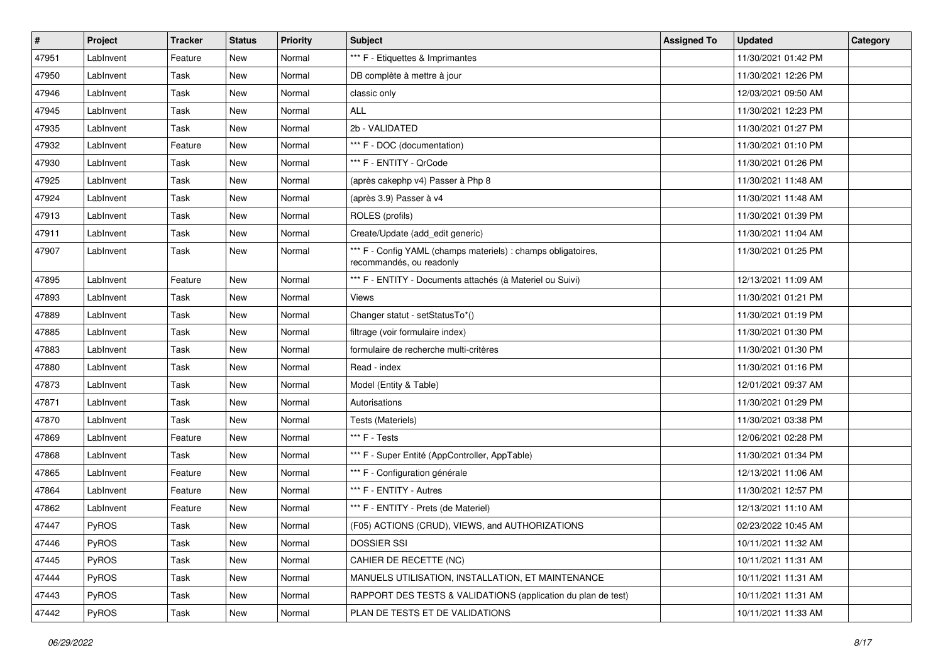| #     | Project   | <b>Tracker</b> | <b>Status</b> | <b>Priority</b> | <b>Subject</b>                                                                            | <b>Assigned To</b> | <b>Updated</b>      | Category |
|-------|-----------|----------------|---------------|-----------------|-------------------------------------------------------------------------------------------|--------------------|---------------------|----------|
| 47951 | LabInvent | Feature        | <b>New</b>    | Normal          | *** F - Etiquettes & Imprimantes                                                          |                    | 11/30/2021 01:42 PM |          |
| 47950 | LabInvent | Task           | <b>New</b>    | Normal          | DB complète à mettre à jour                                                               |                    | 11/30/2021 12:26 PM |          |
| 47946 | LabInvent | Task           | New           | Normal          | classic only                                                                              |                    | 12/03/2021 09:50 AM |          |
| 47945 | LabInvent | Task           | New           | Normal          | <b>ALL</b>                                                                                |                    | 11/30/2021 12:23 PM |          |
| 47935 | LabInvent | Task           | New           | Normal          | 2b - VALIDATED                                                                            |                    | 11/30/2021 01:27 PM |          |
| 47932 | LabInvent | Feature        | <b>New</b>    | Normal          | *** F - DOC (documentation)                                                               |                    | 11/30/2021 01:10 PM |          |
| 47930 | LabInvent | Task           | <b>New</b>    | Normal          | *** F - ENTITY - QrCode                                                                   |                    | 11/30/2021 01:26 PM |          |
| 47925 | LabInvent | Task           | <b>New</b>    | Normal          | (après cakephp v4) Passer à Php 8                                                         |                    | 11/30/2021 11:48 AM |          |
| 47924 | LabInvent | Task           | <b>New</b>    | Normal          | (après 3.9) Passer à v4                                                                   |                    | 11/30/2021 11:48 AM |          |
| 47913 | LabInvent | Task           | <b>New</b>    | Normal          | ROLES (profils)                                                                           |                    | 11/30/2021 01:39 PM |          |
| 47911 | LabInvent | Task           | <b>New</b>    | Normal          | Create/Update (add_edit generic)                                                          |                    | 11/30/2021 11:04 AM |          |
| 47907 | LabInvent | Task           | <b>New</b>    | Normal          | *** F - Config YAML (champs materiels) : champs obligatoires,<br>recommandés, ou readonly |                    | 11/30/2021 01:25 PM |          |
| 47895 | LabInvent | Feature        | <b>New</b>    | Normal          | *** F - ENTITY - Documents attachés (à Materiel ou Suivi)                                 |                    | 12/13/2021 11:09 AM |          |
| 47893 | LabInvent | Task           | <b>New</b>    | Normal          | Views                                                                                     |                    | 11/30/2021 01:21 PM |          |
| 47889 | LabInvent | Task           | <b>New</b>    | Normal          | Changer statut - setStatusTo*()                                                           |                    | 11/30/2021 01:19 PM |          |
| 47885 | LabInvent | Task           | <b>New</b>    | Normal          | filtrage (voir formulaire index)                                                          |                    | 11/30/2021 01:30 PM |          |
| 47883 | LabInvent | Task           | <b>New</b>    | Normal          | formulaire de recherche multi-critères                                                    |                    | 11/30/2021 01:30 PM |          |
| 47880 | LabInvent | Task           | <b>New</b>    | Normal          | Read - index                                                                              |                    | 11/30/2021 01:16 PM |          |
| 47873 | LabInvent | Task           | <b>New</b>    | Normal          | Model (Entity & Table)                                                                    |                    | 12/01/2021 09:37 AM |          |
| 47871 | LabInvent | Task           | New           | Normal          | Autorisations                                                                             |                    | 11/30/2021 01:29 PM |          |
| 47870 | LabInvent | Task           | <b>New</b>    | Normal          | Tests (Materiels)                                                                         |                    | 11/30/2021 03:38 PM |          |
| 47869 | LabInvent | Feature        | <b>New</b>    | Normal          | *** F - Tests                                                                             |                    | 12/06/2021 02:28 PM |          |
| 47868 | LabInvent | Task           | <b>New</b>    | Normal          | *** F - Super Entité (AppController, AppTable)                                            |                    | 11/30/2021 01:34 PM |          |
| 47865 | LabInvent | Feature        | <b>New</b>    | Normal          | *** F - Configuration générale                                                            |                    | 12/13/2021 11:06 AM |          |
| 47864 | LabInvent | Feature        | New           | Normal          | *** F - ENTITY - Autres                                                                   |                    | 11/30/2021 12:57 PM |          |
| 47862 | LabInvent | Feature        | <b>New</b>    | Normal          | *** F - ENTITY - Prets (de Materiel)                                                      |                    | 12/13/2021 11:10 AM |          |
| 47447 | PyROS     | Task           | <b>New</b>    | Normal          | (F05) ACTIONS (CRUD), VIEWS, and AUTHORIZATIONS                                           |                    | 02/23/2022 10:45 AM |          |
| 47446 | PyROS     | Task           | New           | Normal          | <b>DOSSIER SSI</b>                                                                        |                    | 10/11/2021 11:32 AM |          |
| 47445 | PyROS     | Task           | New           | Normal          | CAHIER DE RECETTE (NC)                                                                    |                    | 10/11/2021 11:31 AM |          |
| 47444 | PyROS     | Task           | New           | Normal          | MANUELS UTILISATION, INSTALLATION, ET MAINTENANCE                                         |                    | 10/11/2021 11:31 AM |          |
| 47443 | PyROS     | Task           | New           | Normal          | RAPPORT DES TESTS & VALIDATIONS (application du plan de test)                             |                    | 10/11/2021 11:31 AM |          |
| 47442 | PyROS     | Task           | New           | Normal          | PLAN DE TESTS ET DE VALIDATIONS                                                           |                    | 10/11/2021 11:33 AM |          |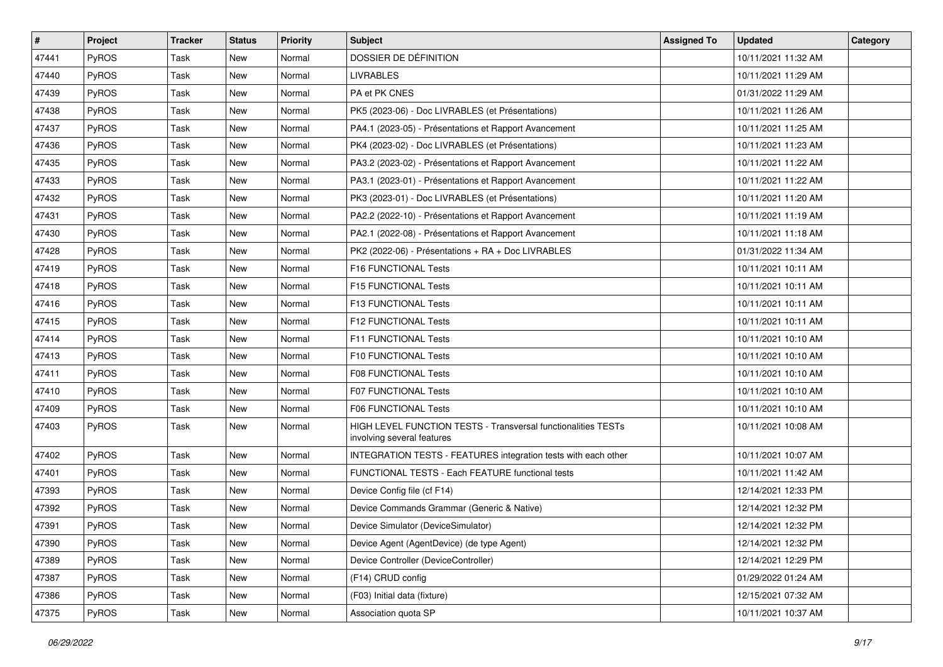| $\vert$ # | Project | <b>Tracker</b> | <b>Status</b> | <b>Priority</b> | <b>Subject</b>                                                                              | <b>Assigned To</b> | <b>Updated</b>      | Category |
|-----------|---------|----------------|---------------|-----------------|---------------------------------------------------------------------------------------------|--------------------|---------------------|----------|
| 47441     | PyROS   | Task           | <b>New</b>    | Normal          | DOSSIER DE DÉFINITION                                                                       |                    | 10/11/2021 11:32 AM |          |
| 47440     | PyROS   | Task           | <b>New</b>    | Normal          | <b>LIVRABLES</b>                                                                            |                    | 10/11/2021 11:29 AM |          |
| 47439     | PyROS   | Task           | <b>New</b>    | Normal          | PA et PK CNES                                                                               |                    | 01/31/2022 11:29 AM |          |
| 47438     | PyROS   | Task           | <b>New</b>    | Normal          | PK5 (2023-06) - Doc LIVRABLES (et Présentations)                                            |                    | 10/11/2021 11:26 AM |          |
| 47437     | PyROS   | Task           | <b>New</b>    | Normal          | PA4.1 (2023-05) - Présentations et Rapport Avancement                                       |                    | 10/11/2021 11:25 AM |          |
| 47436     | PyROS   | Task           | <b>New</b>    | Normal          | PK4 (2023-02) - Doc LIVRABLES (et Présentations)                                            |                    | 10/11/2021 11:23 AM |          |
| 47435     | PyROS   | Task           | <b>New</b>    | Normal          | PA3.2 (2023-02) - Présentations et Rapport Avancement                                       |                    | 10/11/2021 11:22 AM |          |
| 47433     | PyROS   | Task           | <b>New</b>    | Normal          | PA3.1 (2023-01) - Présentations et Rapport Avancement                                       |                    | 10/11/2021 11:22 AM |          |
| 47432     | PyROS   | Task           | New           | Normal          | PK3 (2023-01) - Doc LIVRABLES (et Présentations)                                            |                    | 10/11/2021 11:20 AM |          |
| 47431     | PyROS   | Task           | <b>New</b>    | Normal          | PA2.2 (2022-10) - Présentations et Rapport Avancement                                       |                    | 10/11/2021 11:19 AM |          |
| 47430     | PyROS   | Task           | New           | Normal          | PA2.1 (2022-08) - Présentations et Rapport Avancement                                       |                    | 10/11/2021 11:18 AM |          |
| 47428     | PyROS   | Task           | <b>New</b>    | Normal          | PK2 (2022-06) - Présentations + RA + Doc LIVRABLES                                          |                    | 01/31/2022 11:34 AM |          |
| 47419     | PyROS   | Task           | New           | Normal          | F16 FUNCTIONAL Tests                                                                        |                    | 10/11/2021 10:11 AM |          |
| 47418     | PyROS   | Task           | <b>New</b>    | Normal          | F15 FUNCTIONAL Tests                                                                        |                    | 10/11/2021 10:11 AM |          |
| 47416     | PyROS   | Task           | <b>New</b>    | Normal          | F13 FUNCTIONAL Tests                                                                        |                    | 10/11/2021 10:11 AM |          |
| 47415     | PyROS   | Task           | <b>New</b>    | Normal          | F12 FUNCTIONAL Tests                                                                        |                    | 10/11/2021 10:11 AM |          |
| 47414     | PyROS   | Task           | <b>New</b>    | Normal          | F11 FUNCTIONAL Tests                                                                        |                    | 10/11/2021 10:10 AM |          |
| 47413     | PyROS   | Task           | <b>New</b>    | Normal          | F10 FUNCTIONAL Tests                                                                        |                    | 10/11/2021 10:10 AM |          |
| 47411     | PyROS   | Task           | <b>New</b>    | Normal          | <b>F08 FUNCTIONAL Tests</b>                                                                 |                    | 10/11/2021 10:10 AM |          |
| 47410     | PyROS   | Task           | <b>New</b>    | Normal          | F07 FUNCTIONAL Tests                                                                        |                    | 10/11/2021 10:10 AM |          |
| 47409     | PyROS   | Task           | <b>New</b>    | Normal          | F06 FUNCTIONAL Tests                                                                        |                    | 10/11/2021 10:10 AM |          |
| 47403     | PyROS   | Task           | New           | Normal          | HIGH LEVEL FUNCTION TESTS - Transversal functionalities TESTs<br>involving several features |                    | 10/11/2021 10:08 AM |          |
| 47402     | PyROS   | Task           | New           | Normal          | INTEGRATION TESTS - FEATURES integration tests with each other                              |                    | 10/11/2021 10:07 AM |          |
| 47401     | PyROS   | Task           | <b>New</b>    | Normal          | FUNCTIONAL TESTS - Each FEATURE functional tests                                            |                    | 10/11/2021 11:42 AM |          |
| 47393     | PyROS   | Task           | New           | Normal          | Device Config file (cf F14)                                                                 |                    | 12/14/2021 12:33 PM |          |
| 47392     | PyROS   | Task           | <b>New</b>    | Normal          | Device Commands Grammar (Generic & Native)                                                  |                    | 12/14/2021 12:32 PM |          |
| 47391     | PyROS   | Task           | <b>New</b>    | Normal          | Device Simulator (DeviceSimulator)                                                          |                    | 12/14/2021 12:32 PM |          |
| 47390     | PyROS   | Task           | New           | Normal          | Device Agent (AgentDevice) (de type Agent)                                                  |                    | 12/14/2021 12:32 PM |          |
| 47389     | PyROS   | Task           | New           | Normal          | Device Controller (DeviceController)                                                        |                    | 12/14/2021 12:29 PM |          |
| 47387     | PyROS   | Task           | New           | Normal          | (F14) CRUD config                                                                           |                    | 01/29/2022 01:24 AM |          |
| 47386     | PyROS   | Task           | New           | Normal          | (F03) Initial data (fixture)                                                                |                    | 12/15/2021 07:32 AM |          |
| 47375     | PyROS   | Task           | New           | Normal          | Association quota SP                                                                        |                    | 10/11/2021 10:37 AM |          |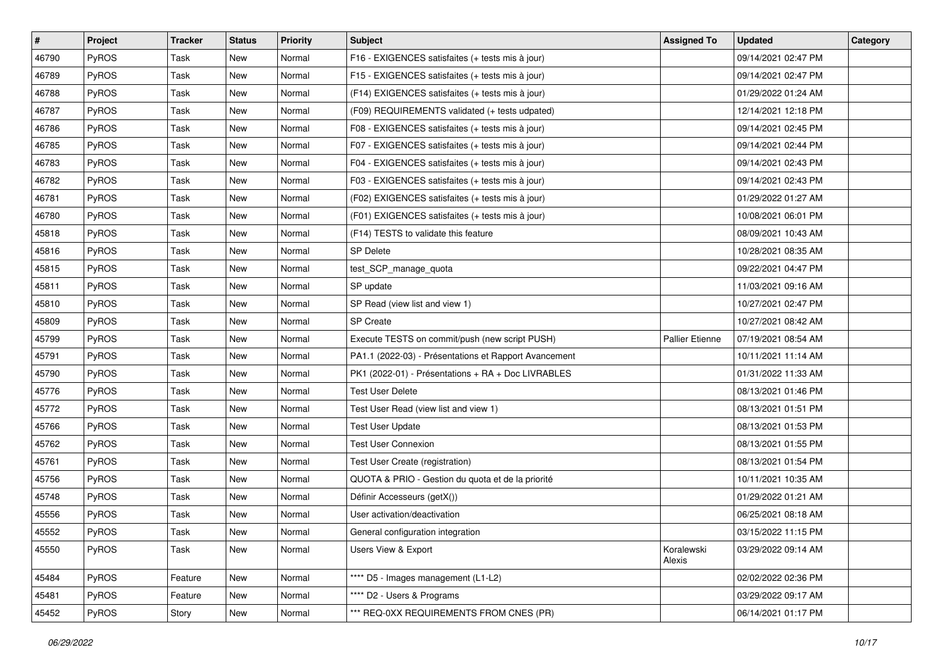| #     | Project      | <b>Tracker</b> | <b>Status</b> | <b>Priority</b> | <b>Subject</b>                                        | <b>Assigned To</b>     | <b>Updated</b>      | Category |
|-------|--------------|----------------|---------------|-----------------|-------------------------------------------------------|------------------------|---------------------|----------|
| 46790 | PyROS        | Task           | New           | Normal          | F16 - EXIGENCES satisfaites (+ tests mis à jour)      |                        | 09/14/2021 02:47 PM |          |
| 46789 | PyROS        | Task           | <b>New</b>    | Normal          | F15 - EXIGENCES satisfaites (+ tests mis à jour)      |                        | 09/14/2021 02:47 PM |          |
| 46788 | <b>PyROS</b> | Task           | New           | Normal          | (F14) EXIGENCES satisfaites (+ tests mis à jour)      |                        | 01/29/2022 01:24 AM |          |
| 46787 | PyROS        | Task           | New           | Normal          | (F09) REQUIREMENTS validated (+ tests udpated)        |                        | 12/14/2021 12:18 PM |          |
| 46786 | PyROS        | Task           | New           | Normal          | F08 - EXIGENCES satisfaites (+ tests mis à jour)      |                        | 09/14/2021 02:45 PM |          |
| 46785 | PyROS        | Task           | New           | Normal          | F07 - EXIGENCES satisfaites (+ tests mis à jour)      |                        | 09/14/2021 02:44 PM |          |
| 46783 | PyROS        | Task           | <b>New</b>    | Normal          | F04 - EXIGENCES satisfaites (+ tests mis à jour)      |                        | 09/14/2021 02:43 PM |          |
| 46782 | PyROS        | Task           | New           | Normal          | F03 - EXIGENCES satisfaites (+ tests mis à jour)      |                        | 09/14/2021 02:43 PM |          |
| 46781 | PyROS        | Task           | New           | Normal          | (F02) EXIGENCES satisfaites (+ tests mis à jour)      |                        | 01/29/2022 01:27 AM |          |
| 46780 | PyROS        | Task           | New           | Normal          | (F01) EXIGENCES satisfaites (+ tests mis à jour)      |                        | 10/08/2021 06:01 PM |          |
| 45818 | PyROS        | Task           | New           | Normal          | (F14) TESTS to validate this feature                  |                        | 08/09/2021 10:43 AM |          |
| 45816 | PyROS        | Task           | New           | Normal          | <b>SP Delete</b>                                      |                        | 10/28/2021 08:35 AM |          |
| 45815 | PyROS        | Task           | New           | Normal          | test_SCP_manage_quota                                 |                        | 09/22/2021 04:47 PM |          |
| 45811 | PyROS        | Task           | New           | Normal          | SP update                                             |                        | 11/03/2021 09:16 AM |          |
| 45810 | PyROS        | Task           | <b>New</b>    | Normal          | SP Read (view list and view 1)                        |                        | 10/27/2021 02:47 PM |          |
| 45809 | <b>PyROS</b> | Task           | New           | Normal          | <b>SP</b> Create                                      |                        | 10/27/2021 08:42 AM |          |
| 45799 | PyROS        | Task           | New           | Normal          | Execute TESTS on commit/push (new script PUSH)        | <b>Pallier Etienne</b> | 07/19/2021 08:54 AM |          |
| 45791 | PyROS        | Task           | New           | Normal          | PA1.1 (2022-03) - Présentations et Rapport Avancement |                        | 10/11/2021 11:14 AM |          |
| 45790 | PyROS        | Task           | New           | Normal          | PK1 (2022-01) - Présentations + RA + Doc LIVRABLES    |                        | 01/31/2022 11:33 AM |          |
| 45776 | PyROS        | Task           | New           | Normal          | <b>Test User Delete</b>                               |                        | 08/13/2021 01:46 PM |          |
| 45772 | PyROS        | Task           | New           | Normal          | Test User Read (view list and view 1)                 |                        | 08/13/2021 01:51 PM |          |
| 45766 | PyROS        | Task           | New           | Normal          | <b>Test User Update</b>                               |                        | 08/13/2021 01:53 PM |          |
| 45762 | PyROS        | Task           | New           | Normal          | <b>Test User Connexion</b>                            |                        | 08/13/2021 01:55 PM |          |
| 45761 | PyROS        | Task           | New           | Normal          | Test User Create (registration)                       |                        | 08/13/2021 01:54 PM |          |
| 45756 | PyROS        | Task           | New           | Normal          | QUOTA & PRIO - Gestion du quota et de la priorité     |                        | 10/11/2021 10:35 AM |          |
| 45748 | PyROS        | Task           | New           | Normal          | Définir Accesseurs (getX())                           |                        | 01/29/2022 01:21 AM |          |
| 45556 | PyROS        | Task           | New           | Normal          | User activation/deactivation                          |                        | 06/25/2021 08:18 AM |          |
| 45552 | PyROS        | Task           | New           | Normal          | General configuration integration                     |                        | 03/15/2022 11:15 PM |          |
| 45550 | PyROS        | Task           | New           | Normal          | Users View & Export                                   | Koralewski<br>Alexis   | 03/29/2022 09:14 AM |          |
| 45484 | PyROS        | Feature        | New           | Normal          | **** D5 - Images management (L1-L2)                   |                        | 02/02/2022 02:36 PM |          |
| 45481 | PyROS        | Feature        | New           | Normal          | **** D2 - Users & Programs                            |                        | 03/29/2022 09:17 AM |          |
| 45452 | PyROS        | Story          | New           | Normal          | *** REQ-0XX REQUIREMENTS FROM CNES (PR)               |                        | 06/14/2021 01:17 PM |          |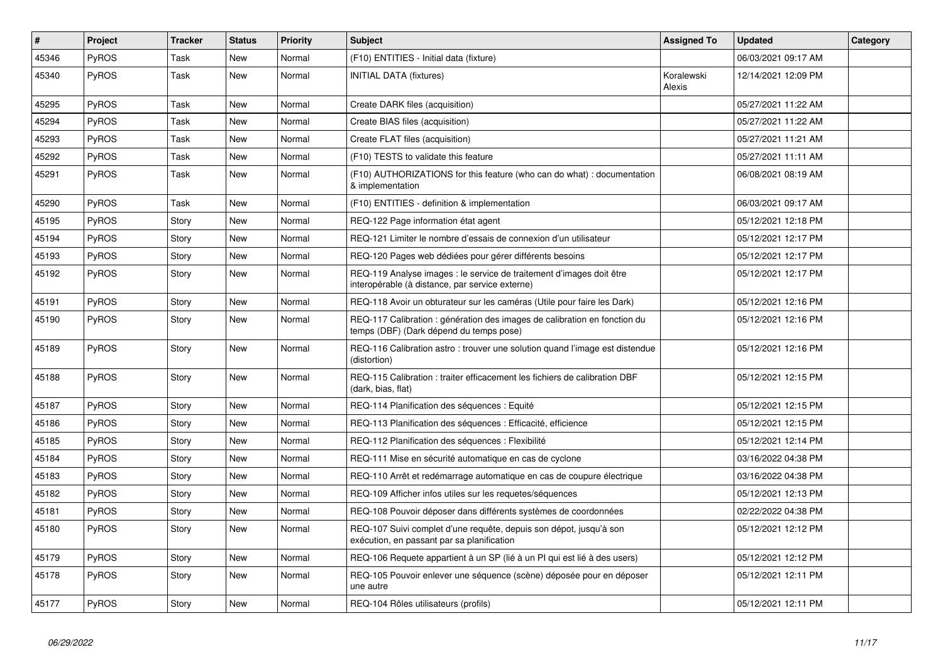| $\vert$ # | <b>Project</b> | <b>Tracker</b> | <b>Status</b> | <b>Priority</b> | <b>Subject</b>                                                                                                          | <b>Assigned To</b>   | <b>Updated</b>      | Category |
|-----------|----------------|----------------|---------------|-----------------|-------------------------------------------------------------------------------------------------------------------------|----------------------|---------------------|----------|
| 45346     | PyROS          | Task           | <b>New</b>    | Normal          | (F10) ENTITIES - Initial data (fixture)                                                                                 |                      | 06/03/2021 09:17 AM |          |
| 45340     | PyROS          | Task           | <b>New</b>    | Normal          | <b>INITIAL DATA (fixtures)</b>                                                                                          | Koralewski<br>Alexis | 12/14/2021 12:09 PM |          |
| 45295     | PyROS          | Task           | <b>New</b>    | Normal          | Create DARK files (acquisition)                                                                                         |                      | 05/27/2021 11:22 AM |          |
| 45294     | PyROS          | Task           | <b>New</b>    | Normal          | Create BIAS files (acquisition)                                                                                         |                      | 05/27/2021 11:22 AM |          |
| 45293     | <b>PyROS</b>   | Task           | <b>New</b>    | Normal          | Create FLAT files (acquisition)                                                                                         |                      | 05/27/2021 11:21 AM |          |
| 45292     | PyROS          | Task           | New           | Normal          | (F10) TESTS to validate this feature                                                                                    |                      | 05/27/2021 11:11 AM |          |
| 45291     | PyROS          | Task           | <b>New</b>    | Normal          | (F10) AUTHORIZATIONS for this feature (who can do what) : documentation<br>& implementation                             |                      | 06/08/2021 08:19 AM |          |
| 45290     | <b>PyROS</b>   | Task           | <b>New</b>    | Normal          | (F10) ENTITIES - definition & implementation                                                                            |                      | 06/03/2021 09:17 AM |          |
| 45195     | PyROS          | Story          | <b>New</b>    | Normal          | REQ-122 Page information état agent                                                                                     |                      | 05/12/2021 12:18 PM |          |
| 45194     | PyROS          | Story          | <b>New</b>    | Normal          | REQ-121 Limiter le nombre d'essais de connexion d'un utilisateur                                                        |                      | 05/12/2021 12:17 PM |          |
| 45193     | PyROS          | Story          | <b>New</b>    | Normal          | REQ-120 Pages web dédiées pour gérer différents besoins                                                                 |                      | 05/12/2021 12:17 PM |          |
| 45192     | <b>PyROS</b>   | Story          | <b>New</b>    | Normal          | REQ-119 Analyse images : le service de traitement d'images doit être<br>interopérable (à distance, par service externe) |                      | 05/12/2021 12:17 PM |          |
| 45191     | PyROS          | Story          | <b>New</b>    | Normal          | REQ-118 Avoir un obturateur sur les caméras (Utile pour faire les Dark)                                                 |                      | 05/12/2021 12:16 PM |          |
| 45190     | PyROS          | Story          | <b>New</b>    | Normal          | REQ-117 Calibration : génération des images de calibration en fonction du<br>temps (DBF) (Dark dépend du temps pose)    |                      | 05/12/2021 12:16 PM |          |
| 45189     | PyROS          | Story          | <b>New</b>    | Normal          | REQ-116 Calibration astro: trouver une solution quand l'image est distendue<br>(distortion)                             |                      | 05/12/2021 12:16 PM |          |
| 45188     | <b>PyROS</b>   | Story          | <b>New</b>    | Normal          | REQ-115 Calibration: traiter efficacement les fichiers de calibration DBF<br>(dark, bias, flat)                         |                      | 05/12/2021 12:15 PM |          |
| 45187     | PyROS          | Story          | <b>New</b>    | Normal          | REQ-114 Planification des séquences : Equité                                                                            |                      | 05/12/2021 12:15 PM |          |
| 45186     | PyROS          | Story          | <b>New</b>    | Normal          | REQ-113 Planification des séquences : Efficacité, efficience                                                            |                      | 05/12/2021 12:15 PM |          |
| 45185     | PyROS          | Story          | <b>New</b>    | Normal          | REQ-112 Planification des séquences : Flexibilité                                                                       |                      | 05/12/2021 12:14 PM |          |
| 45184     | PyROS          | Story          | <b>New</b>    | Normal          | REQ-111 Mise en sécurité automatique en cas de cyclone                                                                  |                      | 03/16/2022 04:38 PM |          |
| 45183     | <b>PyROS</b>   | Story          | <b>New</b>    | Normal          | REQ-110 Arrêt et redémarrage automatique en cas de coupure électrique                                                   |                      | 03/16/2022 04:38 PM |          |
| 45182     | PyROS          | Story          | <b>New</b>    | Normal          | REQ-109 Afficher infos utiles sur les requetes/séquences                                                                |                      | 05/12/2021 12:13 PM |          |
| 45181     | PyROS          | Story          | <b>New</b>    | Normal          | REQ-108 Pouvoir déposer dans différents systèmes de coordonnées                                                         |                      | 02/22/2022 04:38 PM |          |
| 45180     | <b>PyROS</b>   | Story          | <b>New</b>    | Normal          | REQ-107 Suivi complet d'une requête, depuis son dépot, jusqu'à son<br>exécution, en passant par sa planification        |                      | 05/12/2021 12:12 PM |          |
| 45179     | PyROS          | Story          | <b>New</b>    | Normal          | REQ-106 Requete appartient à un SP (lié à un PI qui est lié à des users)                                                |                      | 05/12/2021 12:12 PM |          |
| 45178     | <b>PyROS</b>   | Story          | <b>New</b>    | Normal          | REQ-105 Pouvoir enlever une séquence (scène) déposée pour en déposer<br>une autre                                       |                      | 05/12/2021 12:11 PM |          |
| 45177     | PyROS          | Story          | <b>New</b>    | Normal          | REQ-104 Rôles utilisateurs (profils)                                                                                    |                      | 05/12/2021 12:11 PM |          |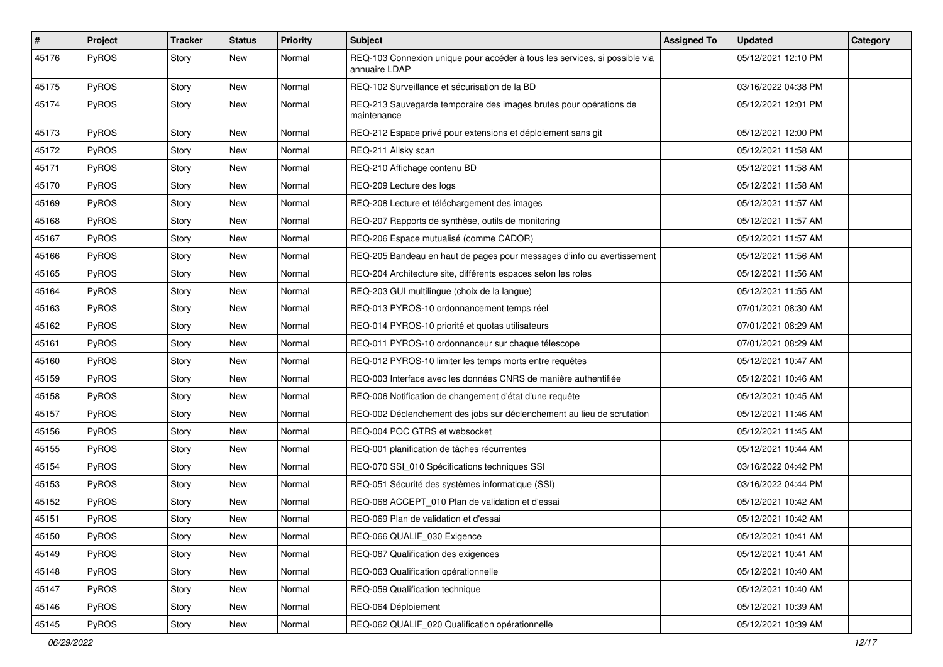| #     | Project | <b>Tracker</b> | <b>Status</b> | <b>Priority</b> | Subject                                                                                     | <b>Assigned To</b> | <b>Updated</b>      | Category |
|-------|---------|----------------|---------------|-----------------|---------------------------------------------------------------------------------------------|--------------------|---------------------|----------|
| 45176 | PyROS   | Story          | New           | Normal          | REQ-103 Connexion unique pour accéder à tous les services, si possible via<br>annuaire LDAP |                    | 05/12/2021 12:10 PM |          |
| 45175 | PyROS   | Story          | New           | Normal          | REQ-102 Surveillance et sécurisation de la BD                                               |                    | 03/16/2022 04:38 PM |          |
| 45174 | PyROS   | Story          | New           | Normal          | REQ-213 Sauvegarde temporaire des images brutes pour opérations de<br>maintenance           |                    | 05/12/2021 12:01 PM |          |
| 45173 | PyROS   | Story          | <b>New</b>    | Normal          | REQ-212 Espace privé pour extensions et déploiement sans git                                |                    | 05/12/2021 12:00 PM |          |
| 45172 | PyROS   | Story          | New           | Normal          | REQ-211 Allsky scan                                                                         |                    | 05/12/2021 11:58 AM |          |
| 45171 | PyROS   | Story          | New           | Normal          | REQ-210 Affichage contenu BD                                                                |                    | 05/12/2021 11:58 AM |          |
| 45170 | PyROS   | Story          | New           | Normal          | REQ-209 Lecture des logs                                                                    |                    | 05/12/2021 11:58 AM |          |
| 45169 | PyROS   | Story          | <b>New</b>    | Normal          | REQ-208 Lecture et téléchargement des images                                                |                    | 05/12/2021 11:57 AM |          |
| 45168 | PyROS   | Story          | New           | Normal          | REQ-207 Rapports de synthèse, outils de monitoring                                          |                    | 05/12/2021 11:57 AM |          |
| 45167 | PyROS   | Story          | New           | Normal          | REQ-206 Espace mutualisé (comme CADOR)                                                      |                    | 05/12/2021 11:57 AM |          |
| 45166 | PyROS   | Story          | <b>New</b>    | Normal          | REQ-205 Bandeau en haut de pages pour messages d'info ou avertissement                      |                    | 05/12/2021 11:56 AM |          |
| 45165 | PyROS   | Story          | New           | Normal          | REQ-204 Architecture site, différents espaces selon les roles                               |                    | 05/12/2021 11:56 AM |          |
| 45164 | PyROS   | Story          | <b>New</b>    | Normal          | REQ-203 GUI multilingue (choix de la langue)                                                |                    | 05/12/2021 11:55 AM |          |
| 45163 | PyROS   | Story          | New           | Normal          | REQ-013 PYROS-10 ordonnancement temps réel                                                  |                    | 07/01/2021 08:30 AM |          |
| 45162 | PyROS   | Story          | New           | Normal          | REQ-014 PYROS-10 priorité et quotas utilisateurs                                            |                    | 07/01/2021 08:29 AM |          |
| 45161 | PyROS   | Story          | <b>New</b>    | Normal          | REQ-011 PYROS-10 ordonnanceur sur chaque télescope                                          |                    | 07/01/2021 08:29 AM |          |
| 45160 | PyROS   | Story          | New           | Normal          | REQ-012 PYROS-10 limiter les temps morts entre requêtes                                     |                    | 05/12/2021 10:47 AM |          |
| 45159 | PyROS   | Story          | <b>New</b>    | Normal          | REQ-003 Interface avec les données CNRS de manière authentifiée                             |                    | 05/12/2021 10:46 AM |          |
| 45158 | PyROS   | Story          | New           | Normal          | REQ-006 Notification de changement d'état d'une requête                                     |                    | 05/12/2021 10:45 AM |          |
| 45157 | PyROS   | Story          | New           | Normal          | REQ-002 Déclenchement des jobs sur déclenchement au lieu de scrutation                      |                    | 05/12/2021 11:46 AM |          |
| 45156 | PyROS   | Story          | <b>New</b>    | Normal          | REQ-004 POC GTRS et websocket                                                               |                    | 05/12/2021 11:45 AM |          |
| 45155 | PyROS   | Story          | New           | Normal          | REQ-001 planification de tâches récurrentes                                                 |                    | 05/12/2021 10:44 AM |          |
| 45154 | PyROS   | Story          | New           | Normal          | REQ-070 SSI_010 Spécifications techniques SSI                                               |                    | 03/16/2022 04:42 PM |          |
| 45153 | PyROS   | Story          | New           | Normal          | REQ-051 Sécurité des systèmes informatique (SSI)                                            |                    | 03/16/2022 04:44 PM |          |
| 45152 | PyROS   | Story          | <b>New</b>    | Normal          | REQ-068 ACCEPT_010 Plan de validation et d'essai                                            |                    | 05/12/2021 10:42 AM |          |
| 45151 | PyROS   | Story          | <b>New</b>    | Normal          | REQ-069 Plan de validation et d'essai                                                       |                    | 05/12/2021 10:42 AM |          |
| 45150 | PyROS   | Story          | New           | Normal          | REQ-066 QUALIF_030 Exigence                                                                 |                    | 05/12/2021 10:41 AM |          |
| 45149 | PyROS   | Story          | New           | Normal          | REQ-067 Qualification des exigences                                                         |                    | 05/12/2021 10:41 AM |          |
| 45148 | PyROS   | Story          | <b>New</b>    | Normal          | REQ-063 Qualification opérationnelle                                                        |                    | 05/12/2021 10:40 AM |          |
| 45147 | PyROS   | Story          | New           | Normal          | REQ-059 Qualification technique                                                             |                    | 05/12/2021 10:40 AM |          |
| 45146 | PyROS   | Story          | New           | Normal          | REQ-064 Déploiement                                                                         |                    | 05/12/2021 10:39 AM |          |
| 45145 | PyROS   | Story          | New           | Normal          | REQ-062 QUALIF_020 Qualification opérationnelle                                             |                    | 05/12/2021 10:39 AM |          |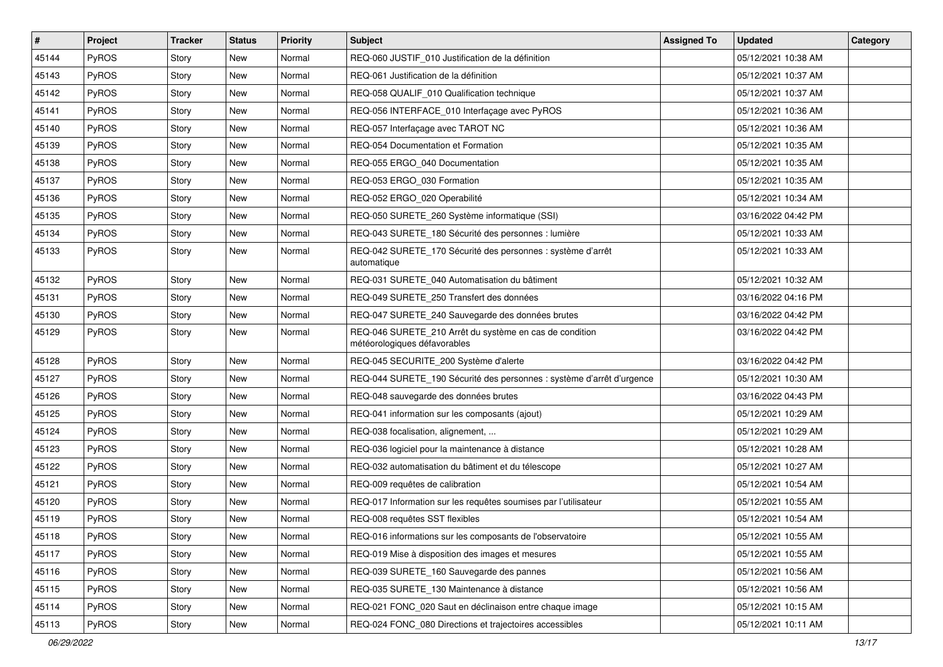| $\vert$ # | Project      | <b>Tracker</b> | <b>Status</b> | <b>Priority</b> | <b>Subject</b>                                                                          | <b>Assigned To</b> | <b>Updated</b>      | Category |
|-----------|--------------|----------------|---------------|-----------------|-----------------------------------------------------------------------------------------|--------------------|---------------------|----------|
| 45144     | PyROS        | Story          | <b>New</b>    | Normal          | REQ-060 JUSTIF_010 Justification de la définition                                       |                    | 05/12/2021 10:38 AM |          |
| 45143     | PyROS        | Story          | <b>New</b>    | Normal          | REQ-061 Justification de la définition                                                  |                    | 05/12/2021 10:37 AM |          |
| 45142     | PyROS        | Story          | New           | Normal          | REQ-058 QUALIF 010 Qualification technique                                              |                    | 05/12/2021 10:37 AM |          |
| 45141     | PyROS        | Story          | <b>New</b>    | Normal          | REQ-056 INTERFACE_010 Interfaçage avec PyROS                                            |                    | 05/12/2021 10:36 AM |          |
| 45140     | PyROS        | Story          | <b>New</b>    | Normal          | REQ-057 Interfaçage avec TAROT NC                                                       |                    | 05/12/2021 10:36 AM |          |
| 45139     | <b>PyROS</b> | Story          | New           | Normal          | REQ-054 Documentation et Formation                                                      |                    | 05/12/2021 10:35 AM |          |
| 45138     | PyROS        | Story          | <b>New</b>    | Normal          | REQ-055 ERGO 040 Documentation                                                          |                    | 05/12/2021 10:35 AM |          |
| 45137     | PyROS        | Story          | New           | Normal          | REQ-053 ERGO_030 Formation                                                              |                    | 05/12/2021 10:35 AM |          |
| 45136     | PyROS        | Story          | <b>New</b>    | Normal          | REQ-052 ERGO_020 Operabilité                                                            |                    | 05/12/2021 10:34 AM |          |
| 45135     | PyROS        | Story          | <b>New</b>    | Normal          | REQ-050 SURETE_260 Système informatique (SSI)                                           |                    | 03/16/2022 04:42 PM |          |
| 45134     | <b>PyROS</b> | Story          | <b>New</b>    | Normal          | REQ-043 SURETE_180 Sécurité des personnes : lumière                                     |                    | 05/12/2021 10:33 AM |          |
| 45133     | PyROS        | Story          | <b>New</b>    | Normal          | REQ-042 SURETE_170 Sécurité des personnes : système d'arrêt<br>automatique              |                    | 05/12/2021 10:33 AM |          |
| 45132     | PyROS        | Story          | <b>New</b>    | Normal          | REQ-031 SURETE_040 Automatisation du bâtiment                                           |                    | 05/12/2021 10:32 AM |          |
| 45131     | PyROS        | Story          | <b>New</b>    | Normal          | REQ-049 SURETE 250 Transfert des données                                                |                    | 03/16/2022 04:16 PM |          |
| 45130     | PyROS        | Story          | <b>New</b>    | Normal          | REQ-047 SURETE_240 Sauvegarde des données brutes                                        |                    | 03/16/2022 04:42 PM |          |
| 45129     | PyROS        | Story          | New           | Normal          | REQ-046 SURETE_210 Arrêt du système en cas de condition<br>météorologiques défavorables |                    | 03/16/2022 04:42 PM |          |
| 45128     | <b>PyROS</b> | Story          | <b>New</b>    | Normal          | REQ-045 SECURITE_200 Système d'alerte                                                   |                    | 03/16/2022 04:42 PM |          |
| 45127     | PyROS        | Story          | <b>New</b>    | Normal          | REQ-044 SURETE_190 Sécurité des personnes : système d'arrêt d'urgence                   |                    | 05/12/2021 10:30 AM |          |
| 45126     | <b>PyROS</b> | Story          | <b>New</b>    | Normal          | REQ-048 sauvegarde des données brutes                                                   |                    | 03/16/2022 04:43 PM |          |
| 45125     | PyROS        | Story          | <b>New</b>    | Normal          | REQ-041 information sur les composants (ajout)                                          |                    | 05/12/2021 10:29 AM |          |
| 45124     | PyROS        | Story          | <b>New</b>    | Normal          | REQ-038 focalisation, alignement,                                                       |                    | 05/12/2021 10:29 AM |          |
| 45123     | PyROS        | Story          | <b>New</b>    | Normal          | REQ-036 logiciel pour la maintenance à distance                                         |                    | 05/12/2021 10:28 AM |          |
| 45122     | PyROS        | Story          | <b>New</b>    | Normal          | REQ-032 automatisation du bâtiment et du télescope                                      |                    | 05/12/2021 10:27 AM |          |
| 45121     | PyROS        | Story          | <b>New</b>    | Normal          | REQ-009 requêtes de calibration                                                         |                    | 05/12/2021 10:54 AM |          |
| 45120     | PyROS        | Story          | <b>New</b>    | Normal          | REQ-017 Information sur les requêtes soumises par l'utilisateur                         |                    | 05/12/2021 10:55 AM |          |
| 45119     | PyROS        | Story          | <b>New</b>    | Normal          | REQ-008 requêtes SST flexibles                                                          |                    | 05/12/2021 10:54 AM |          |
| 45118     | PyROS        | Story          | New           | Normal          | REQ-016 informations sur les composants de l'observatoire                               |                    | 05/12/2021 10:55 AM |          |
| 45117     | PyROS        | Story          | New           | Normal          | REQ-019 Mise à disposition des images et mesures                                        |                    | 05/12/2021 10:55 AM |          |
| 45116     | PyROS        | Story          | New           | Normal          | REQ-039 SURETE 160 Sauvegarde des pannes                                                |                    | 05/12/2021 10:56 AM |          |
| 45115     | PyROS        | Story          | New           | Normal          | REQ-035 SURETE 130 Maintenance à distance                                               |                    | 05/12/2021 10:56 AM |          |
| 45114     | PyROS        | Story          | New           | Normal          | REQ-021 FONC_020 Saut en déclinaison entre chaque image                                 |                    | 05/12/2021 10:15 AM |          |
| 45113     | PyROS        | Story          | New           | Normal          | REQ-024 FONC 080 Directions et trajectoires accessibles                                 |                    | 05/12/2021 10:11 AM |          |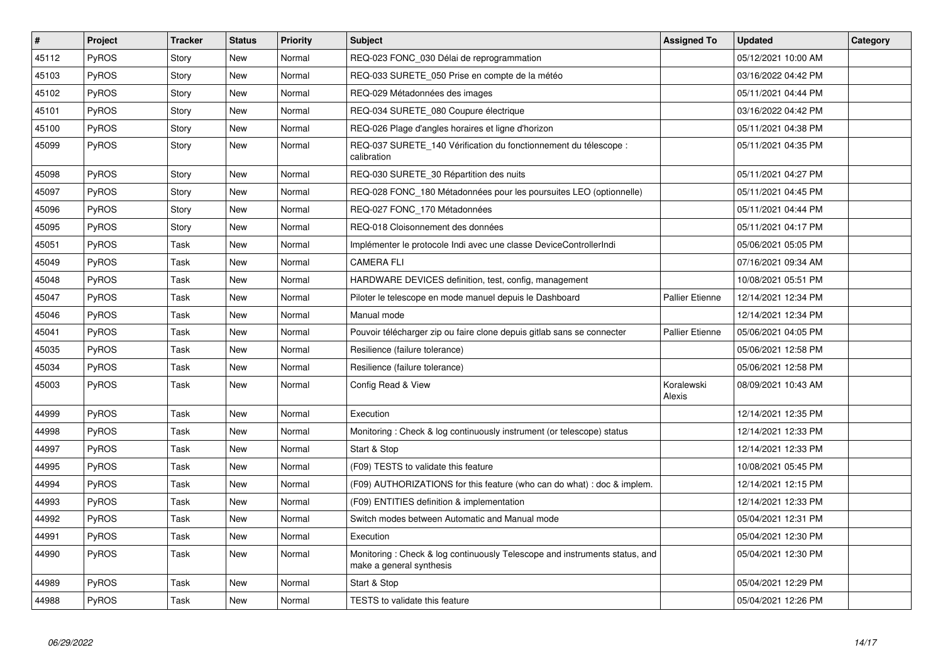| #     | <b>Project</b> | <b>Tracker</b> | <b>Status</b> | <b>Priority</b> | <b>Subject</b>                                                                                         | <b>Assigned To</b>     | <b>Updated</b>      | Category |
|-------|----------------|----------------|---------------|-----------------|--------------------------------------------------------------------------------------------------------|------------------------|---------------------|----------|
| 45112 | <b>PyROS</b>   | Story          | <b>New</b>    | Normal          | REQ-023 FONC 030 Délai de reprogrammation                                                              |                        | 05/12/2021 10:00 AM |          |
| 45103 | <b>PyROS</b>   | Story          | <b>New</b>    | Normal          | REQ-033 SURETE 050 Prise en compte de la météo                                                         |                        | 03/16/2022 04:42 PM |          |
| 45102 | <b>PyROS</b>   | Story          | <b>New</b>    | Normal          | REQ-029 Métadonnées des images                                                                         |                        | 05/11/2021 04:44 PM |          |
| 45101 | <b>PyROS</b>   | Story          | <b>New</b>    | Normal          | REQ-034 SURETE 080 Coupure électrique                                                                  |                        | 03/16/2022 04:42 PM |          |
| 45100 | PyROS          | Story          | <b>New</b>    | Normal          | REQ-026 Plage d'angles horaires et ligne d'horizon                                                     |                        | 05/11/2021 04:38 PM |          |
| 45099 | PyROS          | Story          | <b>New</b>    | Normal          | REQ-037 SURETE 140 Vérification du fonctionnement du télescope :<br>calibration                        |                        | 05/11/2021 04:35 PM |          |
| 45098 | <b>PyROS</b>   | Story          | <b>New</b>    | Normal          | REQ-030 SURETE_30 Répartition des nuits                                                                |                        | 05/11/2021 04:27 PM |          |
| 45097 | <b>PyROS</b>   | Story          | <b>New</b>    | Normal          | REQ-028 FONC 180 Métadonnées pour les poursuites LEO (optionnelle)                                     |                        | 05/11/2021 04:45 PM |          |
| 45096 | PyROS          | Story          | <b>New</b>    | Normal          | REQ-027 FONC_170 Métadonnées                                                                           |                        | 05/11/2021 04:44 PM |          |
| 45095 | <b>PyROS</b>   | Story          | <b>New</b>    | Normal          | REQ-018 Cloisonnement des données                                                                      |                        | 05/11/2021 04:17 PM |          |
| 45051 | PyROS          | Task           | <b>New</b>    | Normal          | Implémenter le protocole Indi avec une classe DeviceControllerIndi                                     |                        | 05/06/2021 05:05 PM |          |
| 45049 | PyROS          | Task           | <b>New</b>    | Normal          | <b>CAMERA FLI</b>                                                                                      |                        | 07/16/2021 09:34 AM |          |
| 45048 | <b>PyROS</b>   | Task           | <b>New</b>    | Normal          | HARDWARE DEVICES definition, test, config, management                                                  |                        | 10/08/2021 05:51 PM |          |
| 45047 | <b>PyROS</b>   | Task           | <b>New</b>    | Normal          | Piloter le telescope en mode manuel depuis le Dashboard                                                | <b>Pallier Etienne</b> | 12/14/2021 12:34 PM |          |
| 45046 | PyROS          | Task           | <b>New</b>    | Normal          | Manual mode                                                                                            |                        | 12/14/2021 12:34 PM |          |
| 45041 | PyROS          | Task           | <b>New</b>    | Normal          | Pouvoir télécharger zip ou faire clone depuis gitlab sans se connecter                                 | <b>Pallier Etienne</b> | 05/06/2021 04:05 PM |          |
| 45035 | PyROS          | Task           | <b>New</b>    | Normal          | Resilience (failure tolerance)                                                                         |                        | 05/06/2021 12:58 PM |          |
| 45034 | PyROS          | Task           | <b>New</b>    | Normal          | Resilience (failure tolerance)                                                                         |                        | 05/06/2021 12:58 PM |          |
| 45003 | PyROS          | Task           | <b>New</b>    | Normal          | Config Read & View                                                                                     | Koralewski<br>Alexis   | 08/09/2021 10:43 AM |          |
| 44999 | PyROS          | Task           | <b>New</b>    | Normal          | Execution                                                                                              |                        | 12/14/2021 12:35 PM |          |
| 44998 | <b>PyROS</b>   | Task           | <b>New</b>    | Normal          | Monitoring: Check & log continuously instrument (or telescope) status                                  |                        | 12/14/2021 12:33 PM |          |
| 44997 | <b>PyROS</b>   | Task           | <b>New</b>    | Normal          | Start & Stop                                                                                           |                        | 12/14/2021 12:33 PM |          |
| 44995 | PyROS          | Task           | <b>New</b>    | Normal          | (F09) TESTS to validate this feature                                                                   |                        | 10/08/2021 05:45 PM |          |
| 44994 | PyROS          | Task           | <b>New</b>    | Normal          | (F09) AUTHORIZATIONS for this feature (who can do what) : doc & implem.                                |                        | 12/14/2021 12:15 PM |          |
| 44993 | PyROS          | Task           | <b>New</b>    | Normal          | (F09) ENTITIES definition & implementation                                                             |                        | 12/14/2021 12:33 PM |          |
| 44992 | PyROS          | Task           | <b>New</b>    | Normal          | Switch modes between Automatic and Manual mode                                                         |                        | 05/04/2021 12:31 PM |          |
| 44991 | PyROS          | Task           | <b>New</b>    | Normal          | Execution                                                                                              |                        | 05/04/2021 12:30 PM |          |
| 44990 | PyROS          | Task           | <b>New</b>    | Normal          | Monitoring: Check & log continuously Telescope and instruments status, and<br>make a general synthesis |                        | 05/04/2021 12:30 PM |          |
| 44989 | PyROS          | Task           | <b>New</b>    | Normal          | Start & Stop                                                                                           |                        | 05/04/2021 12:29 PM |          |
| 44988 | PyROS          | Task           | <b>New</b>    | Normal          | TESTS to validate this feature                                                                         |                        | 05/04/2021 12:26 PM |          |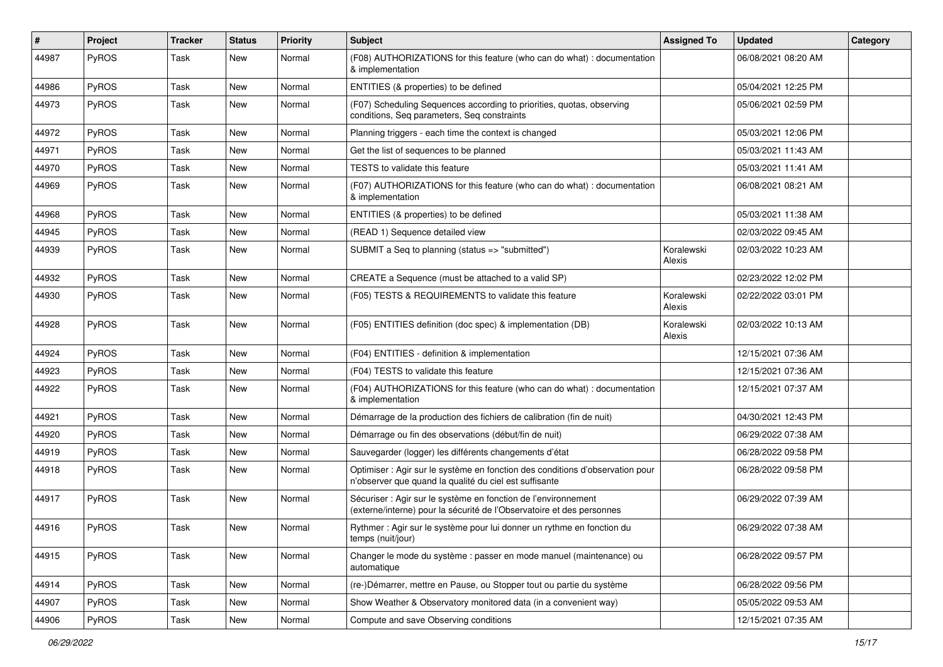| #     | Project | <b>Tracker</b> | <b>Status</b> | <b>Priority</b> | <b>Subject</b>                                                                                                                          | <b>Assigned To</b>   | <b>Updated</b>      | Category |
|-------|---------|----------------|---------------|-----------------|-----------------------------------------------------------------------------------------------------------------------------------------|----------------------|---------------------|----------|
| 44987 | PyROS   | Task           | <b>New</b>    | Normal          | (F08) AUTHORIZATIONS for this feature (who can do what) : documentation<br>& implementation                                             |                      | 06/08/2021 08:20 AM |          |
| 44986 | PyROS   | Task           | New           | Normal          | ENTITIES (& properties) to be defined                                                                                                   |                      | 05/04/2021 12:25 PM |          |
| 44973 | PyROS   | Task           | <b>New</b>    | Normal          | (F07) Scheduling Sequences according to priorities, quotas, observing<br>conditions, Seq parameters, Seq constraints                    |                      | 05/06/2021 02:59 PM |          |
| 44972 | PyROS   | Task           | <b>New</b>    | Normal          | Planning triggers - each time the context is changed                                                                                    |                      | 05/03/2021 12:06 PM |          |
| 44971 | PyROS   | Task           | <b>New</b>    | Normal          | Get the list of sequences to be planned                                                                                                 |                      | 05/03/2021 11:43 AM |          |
| 44970 | PyROS   | Task           | <b>New</b>    | Normal          | TESTS to validate this feature                                                                                                          |                      | 05/03/2021 11:41 AM |          |
| 44969 | PyROS   | Task           | <b>New</b>    | Normal          | (F07) AUTHORIZATIONS for this feature (who can do what) : documentation<br>& implementation                                             |                      | 06/08/2021 08:21 AM |          |
| 44968 | PyROS   | Task           | New           | Normal          | ENTITIES (& properties) to be defined                                                                                                   |                      | 05/03/2021 11:38 AM |          |
| 44945 | PyROS   | Task           | <b>New</b>    | Normal          | (READ 1) Sequence detailed view                                                                                                         |                      | 02/03/2022 09:45 AM |          |
| 44939 | PyROS   | Task           | <b>New</b>    | Normal          | SUBMIT a Seq to planning (status => "submitted")                                                                                        | Koralewski<br>Alexis | 02/03/2022 10:23 AM |          |
| 44932 | PyROS   | Task           | <b>New</b>    | Normal          | CREATE a Sequence (must be attached to a valid SP)                                                                                      |                      | 02/23/2022 12:02 PM |          |
| 44930 | PyROS   | Task           | New           | Normal          | (F05) TESTS & REQUIREMENTS to validate this feature                                                                                     | Koralewski<br>Alexis | 02/22/2022 03:01 PM |          |
| 44928 | PyROS   | Task           | New           | Normal          | (F05) ENTITIES definition (doc spec) & implementation (DB)                                                                              | Koralewski<br>Alexis | 02/03/2022 10:13 AM |          |
| 44924 | PyROS   | Task           | <b>New</b>    | Normal          | (F04) ENTITIES - definition & implementation                                                                                            |                      | 12/15/2021 07:36 AM |          |
| 44923 | PyROS   | Task           | <b>New</b>    | Normal          | (F04) TESTS to validate this feature                                                                                                    |                      | 12/15/2021 07:36 AM |          |
| 44922 | PyROS   | Task           | New           | Normal          | (F04) AUTHORIZATIONS for this feature (who can do what) : documentation<br>& implementation                                             |                      | 12/15/2021 07:37 AM |          |
| 44921 | PyROS   | Task           | <b>New</b>    | Normal          | Démarrage de la production des fichiers de calibration (fin de nuit)                                                                    |                      | 04/30/2021 12:43 PM |          |
| 44920 | PyROS   | Task           | New           | Normal          | Démarrage ou fin des observations (début/fin de nuit)                                                                                   |                      | 06/29/2022 07:38 AM |          |
| 44919 | PyROS   | Task           | <b>New</b>    | Normal          | Sauvegarder (logger) les différents changements d'état                                                                                  |                      | 06/28/2022 09:58 PM |          |
| 44918 | PyROS   | Task           | <b>New</b>    | Normal          | Optimiser : Agir sur le système en fonction des conditions d'observation pour<br>n'observer que quand la qualité du ciel est suffisante |                      | 06/28/2022 09:58 PM |          |
| 44917 | PyROS   | Task           | <b>New</b>    | Normal          | Sécuriser : Agir sur le système en fonction de l'environnement<br>(externe/interne) pour la sécurité de l'Observatoire et des personnes |                      | 06/29/2022 07:39 AM |          |
| 44916 | PyROS   | Task           | <b>New</b>    | Normal          | Rythmer : Agir sur le système pour lui donner un rythme en fonction du<br>temps (nuit/jour)                                             |                      | 06/29/2022 07:38 AM |          |
| 44915 | PyROS   | Task           | New           | Normal          | Changer le mode du système : passer en mode manuel (maintenance) ou<br>automatique                                                      |                      | 06/28/2022 09:57 PM |          |
| 44914 | PyROS   | Task           | New           | Normal          | (re-)Démarrer, mettre en Pause, ou Stopper tout ou partie du système                                                                    |                      | 06/28/2022 09:56 PM |          |
| 44907 | PyROS   | Task           | New           | Normal          | Show Weather & Observatory monitored data (in a convenient way)                                                                         |                      | 05/05/2022 09:53 AM |          |
| 44906 | PyROS   | Task           | New           | Normal          | Compute and save Observing conditions                                                                                                   |                      | 12/15/2021 07:35 AM |          |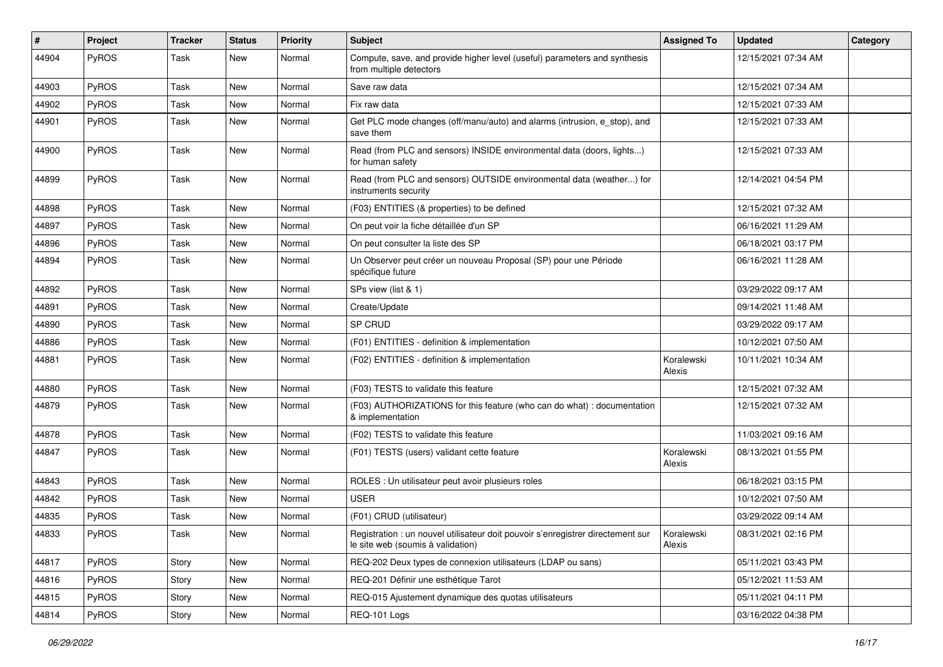| $\sharp$ | Project | <b>Tracker</b> | <b>Status</b> | <b>Priority</b> | <b>Subject</b>                                                                                                       | <b>Assigned To</b>   | <b>Updated</b>      | Category |
|----------|---------|----------------|---------------|-----------------|----------------------------------------------------------------------------------------------------------------------|----------------------|---------------------|----------|
| 44904    | PyROS   | Task           | New           | Normal          | Compute, save, and provide higher level (useful) parameters and synthesis<br>from multiple detectors                 |                      | 12/15/2021 07:34 AM |          |
| 44903    | PyROS   | Task           | New           | Normal          | Save raw data                                                                                                        |                      | 12/15/2021 07:34 AM |          |
| 44902    | PyROS   | Task           | New           | Normal          | Fix raw data                                                                                                         |                      | 12/15/2021 07:33 AM |          |
| 44901    | PyROS   | Task           | New           | Normal          | Get PLC mode changes (off/manu/auto) and alarms (intrusion, e_stop), and<br>save them                                |                      | 12/15/2021 07:33 AM |          |
| 44900    | PyROS   | Task           | New           | Normal          | Read (from PLC and sensors) INSIDE environmental data (doors, lights)<br>for human safety                            |                      | 12/15/2021 07:33 AM |          |
| 44899    | PyROS   | Task           | <b>New</b>    | Normal          | Read (from PLC and sensors) OUTSIDE environmental data (weather) for<br>instruments security                         |                      | 12/14/2021 04:54 PM |          |
| 44898    | PyROS   | <b>Task</b>    | <b>New</b>    | Normal          | (F03) ENTITIES (& properties) to be defined                                                                          |                      | 12/15/2021 07:32 AM |          |
| 44897    | PyROS   | Task           | New           | Normal          | On peut voir la fiche détaillée d'un SP                                                                              |                      | 06/16/2021 11:29 AM |          |
| 44896    | PyROS   | Task           | <b>New</b>    | Normal          | On peut consulter la liste des SP                                                                                    |                      | 06/18/2021 03:17 PM |          |
| 44894    | PyROS   | Task           | New           | Normal          | Un Observer peut créer un nouveau Proposal (SP) pour une Période<br>spécifique future                                |                      | 06/16/2021 11:28 AM |          |
| 44892    | PyROS   | Task           | New           | Normal          | SPs view (list & 1)                                                                                                  |                      | 03/29/2022 09:17 AM |          |
| 44891    | PyROS   | Task           | <b>New</b>    | Normal          | Create/Update                                                                                                        |                      | 09/14/2021 11:48 AM |          |
| 44890    | PyROS   | Task           | <b>New</b>    | Normal          | SP CRUD                                                                                                              |                      | 03/29/2022 09:17 AM |          |
| 44886    | PyROS   | Task           | <b>New</b>    | Normal          | (F01) ENTITIES - definition & implementation                                                                         |                      | 10/12/2021 07:50 AM |          |
| 44881    | PyROS   | Task           | New           | Normal          | (F02) ENTITIES - definition & implementation                                                                         | Koralewski<br>Alexis | 10/11/2021 10:34 AM |          |
| 44880    | PyROS   | Task           | <b>New</b>    | Normal          | (F03) TESTS to validate this feature                                                                                 |                      | 12/15/2021 07:32 AM |          |
| 44879    | PyROS   | Task           | <b>New</b>    | Normal          | (F03) AUTHORIZATIONS for this feature (who can do what) : documentation<br>& implementation                          |                      | 12/15/2021 07:32 AM |          |
| 44878    | PyROS   | Task           | <b>New</b>    | Normal          | (F02) TESTS to validate this feature                                                                                 |                      | 11/03/2021 09:16 AM |          |
| 44847    | PyROS   | Task           | New           | Normal          | (F01) TESTS (users) validant cette feature                                                                           | Koralewski<br>Alexis | 08/13/2021 01:55 PM |          |
| 44843    | PyROS   | Task           | New           | Normal          | ROLES : Un utilisateur peut avoir plusieurs roles                                                                    |                      | 06/18/2021 03:15 PM |          |
| 44842    | PyROS   | Task           | <b>New</b>    | Normal          | <b>USER</b>                                                                                                          |                      | 10/12/2021 07:50 AM |          |
| 44835    | PyROS   | Task           | New           | Normal          | (F01) CRUD (utilisateur)                                                                                             |                      | 03/29/2022 09:14 AM |          |
| 44833    | PyROS   | Task           | New           | Normal          | Registration : un nouvel utilisateur doit pouvoir s'enregistrer directement sur<br>le site web (soumis à validation) | Koralewski<br>Alexis | 08/31/2021 02:16 PM |          |
| 44817    | PyROS   | Story          | New           | Normal          | REQ-202 Deux types de connexion utilisateurs (LDAP ou sans)                                                          |                      | 05/11/2021 03:43 PM |          |
| 44816    | PyROS   | Story          | New           | Normal          | REQ-201 Définir une esthétique Tarot                                                                                 |                      | 05/12/2021 11:53 AM |          |
| 44815    | PyROS   | Story          | New           | Normal          | REQ-015 Ajustement dynamique des quotas utilisateurs                                                                 |                      | 05/11/2021 04:11 PM |          |
| 44814    | PyROS   | Story          | New           | Normal          | REQ-101 Logs                                                                                                         |                      | 03/16/2022 04:38 PM |          |